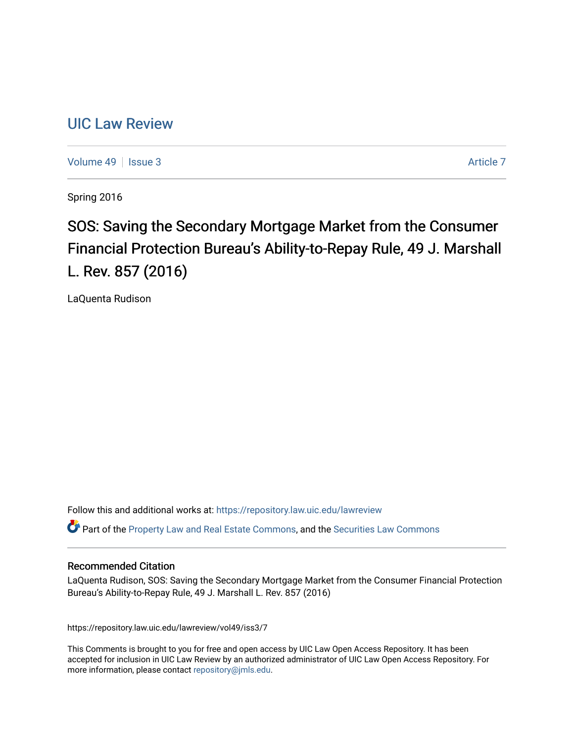# [UIC Law Review](https://repository.law.uic.edu/lawreview)

[Volume 49](https://repository.law.uic.edu/lawreview/vol49) | [Issue 3](https://repository.law.uic.edu/lawreview/vol49/iss3) [Article 7](https://repository.law.uic.edu/lawreview/vol49/iss3/7) Article 7

Spring 2016

# SOS: Saving the Secondary Mortgage Market from the Consumer Financial Protection Bureau's Ability-to-Repay Rule, 49 J. Marshall L. Rev. 857 (2016)

LaQuenta Rudison

Follow this and additional works at: [https://repository.law.uic.edu/lawreview](https://repository.law.uic.edu/lawreview?utm_source=repository.law.uic.edu%2Flawreview%2Fvol49%2Fiss3%2F7&utm_medium=PDF&utm_campaign=PDFCoverPages) 

Part of the [Property Law and Real Estate Commons,](http://network.bepress.com/hgg/discipline/897?utm_source=repository.law.uic.edu%2Flawreview%2Fvol49%2Fiss3%2F7&utm_medium=PDF&utm_campaign=PDFCoverPages) and the [Securities Law Commons](http://network.bepress.com/hgg/discipline/619?utm_source=repository.law.uic.edu%2Flawreview%2Fvol49%2Fiss3%2F7&utm_medium=PDF&utm_campaign=PDFCoverPages)

## Recommended Citation

LaQuenta Rudison, SOS: Saving the Secondary Mortgage Market from the Consumer Financial Protection Bureau's Ability-to-Repay Rule, 49 J. Marshall L. Rev. 857 (2016)

https://repository.law.uic.edu/lawreview/vol49/iss3/7

This Comments is brought to you for free and open access by UIC Law Open Access Repository. It has been accepted for inclusion in UIC Law Review by an authorized administrator of UIC Law Open Access Repository. For more information, please contact [repository@jmls.edu.](mailto:repository@jmls.edu)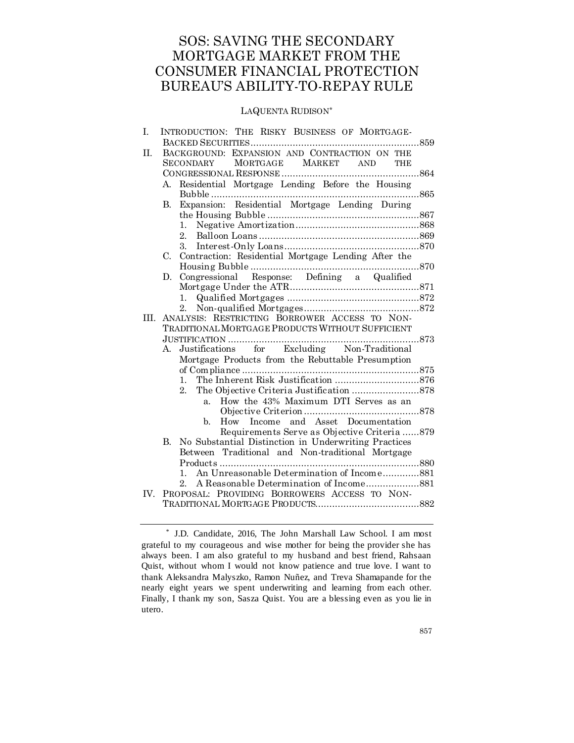## SOS: SAVING THE SECONDARY MORTGAGE MARKET FROM THE CONSUMER FINANCIAL PROTECTION BUREAU'S ABILITY-TO-REPAY RULE

## LAQUENTA RUDISON\*

| I.  | INTRODUCTION: THE RISKY BUSINESS OF MORTGAGE-                         |                |
|-----|-----------------------------------------------------------------------|----------------|
|     |                                                                       | . 859          |
| Η.  | BACKGROUND: EXPANSION AND CONTRACTION ON THE                          |                |
|     | MORTGAGE MARKET<br><b>SECONDARY</b><br><b>AND</b><br>THE              |                |
|     |                                                                       | $\ldots$ . 864 |
|     | A. Residential Mortgage Lending Before the Housing<br>Bubble<br>. 865 |                |
|     | Expansion: Residential Mortgage Lending During<br>B.                  |                |
|     |                                                                       |                |
|     | 1.                                                                    |                |
|     | 2.                                                                    |                |
|     | 3.                                                                    |                |
|     | Contraction: Residential Mortgage Lending After the<br>C.             |                |
|     |                                                                       | 870            |
|     | D.                                                                    |                |
|     |                                                                       |                |
|     | 1.                                                                    |                |
|     | 2.                                                                    |                |
| Ш.  | ANALYSIS: RESTRICTING BORROWER ACCESS TO NON-                         |                |
|     | TRADITIONAL MORTGAGE PRODUCTS WITHOUT SUFFICIENT                      |                |
|     | 873<br>JUSTIFICATION                                                  |                |
|     | for Excluding Non-Traditional<br>Justifications<br>А.                 |                |
|     | Mortgage Products from the Rebuttable Presumption                     |                |
|     |                                                                       |                |
|     | 1.                                                                    |                |
|     | 2.                                                                    |                |
|     | How the 43% Maximum DTI Serves as an<br>a.                            |                |
|     | How Income and Asset Documentation<br>b.                              |                |
|     | Requirements Serve as Objective Criteria 879                          |                |
|     | No Substantial Distinction in Underwriting Practices<br>В.            |                |
|     | Between Traditional and Non-traditional Mortgage                      |                |
|     |                                                                       |                |
|     | An Unreasonable Determination of Income881<br>1.                      |                |
|     | 2.                                                                    |                |
| IV. | PROPOSAL: PROVIDING BORROWERS ACCESS TO NON-                          |                |
|     |                                                                       |                |
|     |                                                                       |                |

<sup>\*</sup> J.D. Candidate, 2016, The John Marshall Law School. I am most grateful to my courageous and wise mother for being the provider she has always been. I am also grateful to my husband and best friend, Rahsaan Quist, without whom I would not know patience and true love. I want to thank Aleksandra Malyszko, Ramon Nuñez, and Treva Shamapande for the nearly eight years we spent underwriting and learning from each other. Finally, I thank my son, Sasza Quist. You are a blessing even as you lie in utero.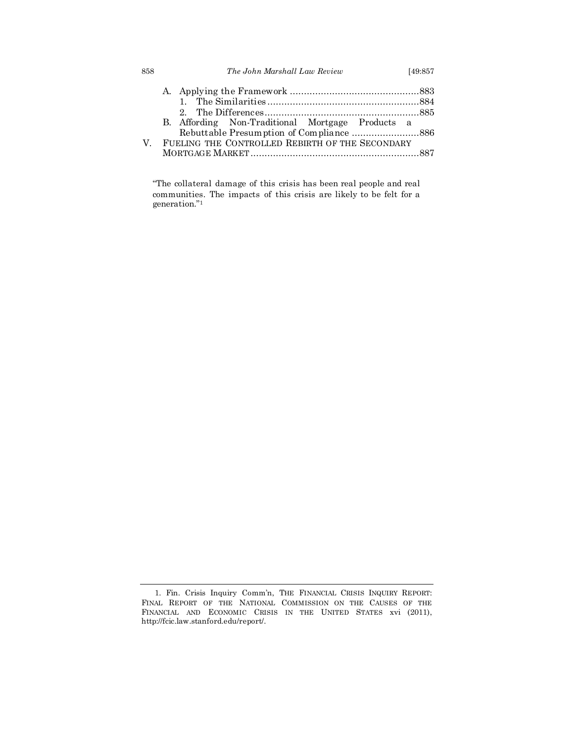| 858 | The John Marshall Law Review                     | [49:857] |
|-----|--------------------------------------------------|----------|
|     |                                                  |          |
|     |                                                  |          |
|     |                                                  |          |
|     | B. Affording Non-Traditional Mortgage Products a |          |
|     |                                                  |          |
| V   | FUELING THE CONTROLLED REBIRTH OF THE SECONDARY  |          |
|     |                                                  |          |

"The collateral damage of this crisis has been real people and real communities. The impacts of this crisis are likely to be felt for a generation." 1

<sup>1.</sup> Fin. Crisis Inquiry Comm'n, THE FINANCIAL CRISIS INQUIRY REPORT: FINAL REPORT OF THE NATIONAL COMMISSION ON THE CAUSES OF THE FINANCIAL AND ECONOMIC CRISIS IN THE UNITED STATES xvi (2011), http://fcic.law.stanford.edu/report/.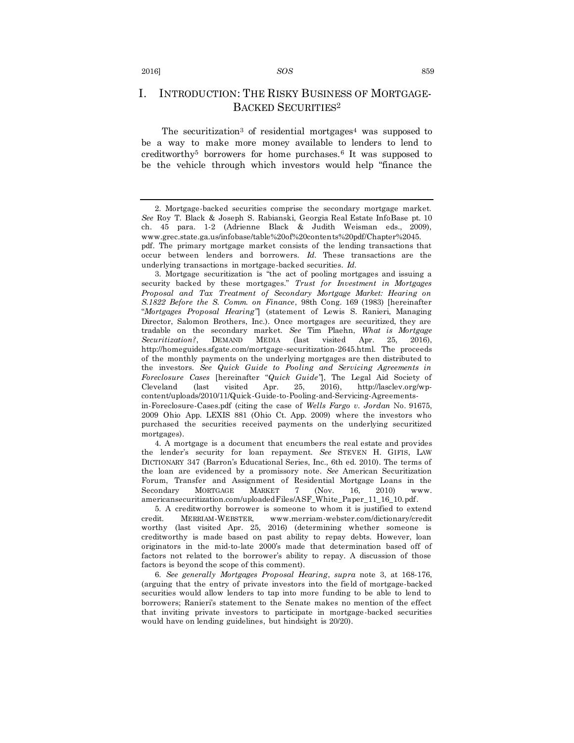## I. INTRODUCTION: THE RISKY BUSINESS OF MORTGAGE-BACKED SECURITIES<sup>2</sup>

The securitization<sup>3</sup> of residential mortgages<sup>4</sup> was supposed to be a way to make more money available to lenders to lend to creditworthy<sup>5</sup> borrowers for home purchases.<sup>6</sup> It was supposed to be the vehicle through which investors would help "finance the

mortgages).

4. A mortgage is a document that encumbers the real estate and provides the lender's security for loan repayment. *See* STEVEN H. GIFIS, LAW DICTIONARY 347 (Barron's Educational Series, Inc., 6th ed. 2010). The terms of the loan are evidenced by a promissory note. *See* American Securitization Forum, Transfer and Assignment of Residential Mortgage Loans in the Secondary MORTGAGE MARKET 7 (Nov. 16, 2010) www. americansecuritization.com/uploadedFiles/ASF\_White\_Paper\_11\_16\_10.pdf*.*

5. A creditworthy borrower is someone to whom it is justified to extend credit. MERRIAM-WEBSTER, www.merriam-webster.com/dictionary/credit worthy (last visited Apr. 25, 2016) (determining whether someone is creditworthy is made based on past ability to repay debts. However, loan originators in the mid-to-late 2000's made that determination based off of factors not related to the borrower's ability to repay. A discussion of those factors is beyond the scope of this comment).

6. *See generally Mortgages Proposal Hearing*, *supra* note 3, at 168-176, (arguing that the entry of private investors into the field of mortgage-backed securities would allow lenders to tap into more funding to be able to lend to borrowers; Ranieri's statement to the Senate makes no mention of the effect that inviting private investors to participate in mortgage-backed securities would have on lending guidelines, but hindsight is 20/20).

<sup>2.</sup> Mortgage-backed securities comprise the secondary mortgage market. *See* Roy T. Black & Joseph S. Rabianski, Georgia Real Estate InfoBase pt. 10 ch. 45 para. 1-2 (Adrienne Black & Judith Weisman eds., 2009), www.grec.state.ga.us/infobase/table%20of%20contents%20pdf/Chapter%2045. pdf. The primary mortgage market consists of the lending transactions that occur between lenders and borrowers. *Id.* These transactions are the

underlying transactions in mortgage-backed securities. *Id.* 3. Mortgage securitization is "the act of pooling mortgages and issuing a

security backed by these mortgages." *Trust for Investment in Mortgages Proposal and Tax Treatment of Secondary Mortgage Market: Hearing on S.1822 Before the S. Comm. on Finance*, 98th Cong. 169 (1983) [hereinafter "*Mortgages Proposal Hearing"*] (statement of Lewis S. Ranieri, Managing Director, Salomon Brothers, Inc.). Once mortgages are securitized, they are tradable on the secondary market. *See* Tim Plaehn, *What is Mortgage Securitization?*, DEMAND MEDIA (last visited Apr. 25, 2016), http://homeguides.sfgate.com/mortgage-securitization-2645.html. The proceeds of the monthly payments on the underlying mortgages are then distributed to the investors. *See Quick Guide to Pooling and Servicing Agreements in Foreclosure Cases* [hereinafter "*Quick Guide"*], The Legal Aid Society of Cleveland (last visited Apr. 25, 2016), http://lasclev.org/wpcontent/uploads/2010/11/Quick-Guide-to-Pooling-and-Servicing-Agreementsin-Foreclosure-Cases.pdf (citing the case of *Wells Fargo v. Jordan* No. 91675, 2009 Ohio App. LEXIS 881 (Ohio Ct. App. 2009) where the investors who purchased the securities received payments on the underlying securitized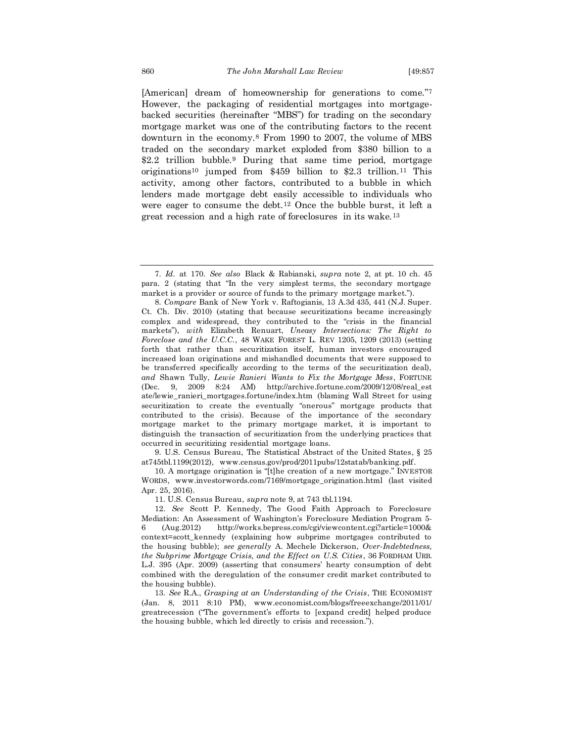[American] dream of homeownership for generations to come."<sup>7</sup> However, the packaging of residential mortgages into mortgagebacked securities (hereinafter "MBS") for trading on the secondary mortgage market was one of the contributing factors to the recent downturn in the economy.<sup>8</sup> From 1990 to 2007, the volume of MBS traded on the secondary market exploded from \$380 billion to a \$2.2 trillion bubble.<sup>9</sup> During that same time period, mortgage originations<sup>10</sup> jumped from \$459 billion to \$2.3 trillion.<sup>11</sup> This activity, among other factors, contributed to a bubble in which lenders made mortgage debt easily accessible to individuals who were eager to consume the debt.<sup>12</sup> Once the bubble burst, it left a great recession and a high rate of foreclosures in its wake.<sup>13</sup>

9. U.S. Census Bureau, The Statistical Abstract of the United States, § 25 at745tbl.1199(2012), www.census.gov/prod/2011pubs/12statab/banking.pdf.

10. A mortgage origination is "[t]he creation of a new mortgage." INVESTOR WORDS, www.investorwords.com/7169/mortgage\_origination.html (last visited Apr. 25, 2016).

11. U.S. Census Bureau, *supra* note 9, at 743 tbl.1194.

12. *See* Scott P. Kennedy, The Good Faith Approach to Foreclosure Mediation: An Assessment of Washington's Foreclosure Mediation Program 5- 6 (Aug.2012) http://works.bepress.com/cgi/viewcontent.cgi?article=1000& context=scott\_kennedy (explaining how subprime mortgages contributed to the housing bubble); *see generally* A. Mechele Dickerson, *Over-Indebtedness, the Subprime Mortgage Crisis, and the Effect on U.S. Cities*, 36 FORDHAM URB. L.J. 395 (Apr. 2009) (asserting that consumers' hearty consumption of debt combined with the deregulation of the consumer credit market contributed to the housing bubble).

13. *See* R.A., *Grasping at an Understanding of the Crisis*, THE ECONOMIST (Jan. 8, 2011 8:10 PM), www.economist.com/blogs/freeexchange/2011/01/ greatrecession ("The government's efforts to [expand credit] helped produce the housing bubble, which led directly to crisis and recession.").

<sup>7.</sup> *Id.* at 170. *See also* Black & Rabianski, *supra* note 2, at pt. 10 ch. 45 para. 2 (stating that "In the very simplest terms, the secondary mortgage market is a provider or source of funds to the primary mortgage market.").

<sup>8.</sup> *Compare* Bank of New York v. Raftogianis, 13 A.3d 435, 441 (N.J. Super. Ct. Ch. Div. 2010) (stating that because securitizations became increasingly complex and widespread, they contributed to the "crisis in the financial markets"), *with* Elizabeth Renuart, *Uneasy Intersections: The Right to Foreclose and the U.C.C.*, 48 WAKE FOREST L. REV 1205, 1209 (2013) (setting forth that rather than securitization itself, human investors encouraged increased loan originations and mishandled documents that were supposed to be transferred specifically according to the terms of the securitization deal), *and* Shawn Tully, *Lewie Ranieri Wants to Fix the Mortgage Mess*, FORTUNE (Dec. 9, 2009 8:24 AM) http://archive.fortune.com/2009/12/08/real\_est ate/lewie\_ranieri\_mortgages.fortune/index.htm (blaming Wall Street for using securitization to create the eventually "onerous" mortgage products that contributed to the crisis). Because of the importance of the secondary mortgage market to the primary mortgage market, it is important to distinguish the transaction of securitization from the underlying practices that occurred in securitizing residential mortgage loans.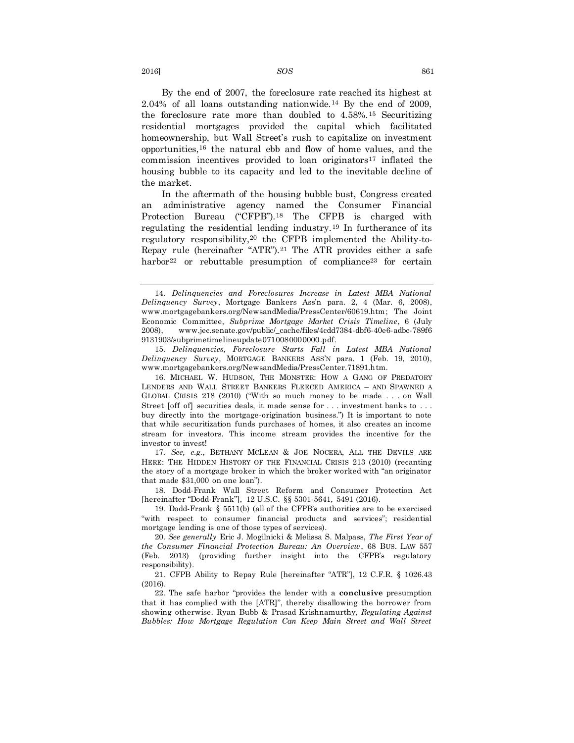By the end of 2007, the foreclosure rate reached its highest at  $2.04\%$  of all loans outstanding nationwide.<sup>14</sup> By the end of 2009, the foreclosure rate more than doubled to 4.58%.<sup>15</sup> Securitizing residential mortgages provided the capital which facilitated homeownership, but Wall Street's rush to capitalize on investment opportunities,<sup>16</sup> the natural ebb and flow of home values, and the commission incentives provided to loan originators<sup>17</sup> inflated the housing bubble to its capacity and led to the inevitable decline of the market.

In the aftermath of the housing bubble bust, Congress created an administrative agency named the Consumer Financial Protection Bureau ("CFPB").<sup>18</sup> The CFPB is charged with regulating the residential lending industry.<sup>19</sup> In furtherance of its regulatory responsibility,<sup>20</sup> the CFPB implemented the Ability-to-Repay rule (hereinafter "ATR").<sup>21</sup> The ATR provides either a safe harbor<sup>22</sup> or rebuttable presumption of compliance<sup>23</sup> for certain

15. *Delinquencies, Foreclosure Starts Fall in Latest MBA National Delinquency Survey*, MORTGAGE BANKERS ASS'N para. 1 (Feb. 19, 2010), www.mortgagebankers.org/NewsandMedia/PressCenter.71891.htm.

17. *See, e.g.*, BETHANY MCLEAN & JOE NOCERA, ALL THE DEVILS ARE HERE: THE HIDDEN HISTORY OF THE FINANCIAL CRISIS 213 (2010) (recanting the story of a mortgage broker in which the broker worked with "an originator that made \$31,000 on one loan").

18. Dodd-Frank Wall Street Reform and Consumer Protection Act [hereinafter "Dodd-Frank"], 12 U.S.C. §§ 5301-5641, 5491 (2016).

19. Dodd-Frank § 5511(b) (all of the CFPB's authorities are to be exercised "with respect to consumer financial products and services"; residential mortgage lending is one of those types of services).

20. *See generally* Eric J. Mogilnicki & Melissa S. Malpass, *The First Year of the Consumer Financial Protection Bureau: An Overview*, 68 BUS. LAW 557 (Feb. 2013) (providing further insight into the CFPB's regulatory responsibility).

21. CFPB Ability to Repay Rule [hereinafter "ATR"], 12 C.F.R. § 1026.43 (2016).

22. The safe harbor "provides the lender with a **conclusive** presumption that it has complied with the [ATR]", thereby disallowing the borrower from showing otherwise. Ryan Bubb & Prasad Krishnamurthy, *Regulating Against Bubbles: How Mortgage Regulation Can Keep Main Street and Wall Street* 

<sup>14.</sup> *Delinquencies and Foreclosures Increase in Latest MBA National Delinquency Survey*, Mortgage Bankers Ass'n para. 2, 4 (Mar. 6, 2008), www.mortgagebankers.org/NewsandMedia/PressCenter/60619.htm; The Joint Economic Committee, *Subprime Mortgage Market Crisis Timeline*, 6 (July 2008), www.jec.senate.gov/public/\_cache/files/4cdd7384-dbf6-40e6-adbc-789f6 9131903/subprimetimelineupdate0710080000000.pdf.

<sup>16.</sup> MICHAEL W. HUDSON, THE MONSTER: HOW A GANG OF PREDATORY LENDERS AND WALL STREET BANKERS FLEECED AMERICA – AND SPAWNED A GLOBAL CRISIS 218 (2010) ("With so much money to be made . . . on Wall Street [off of] securities deals, it made sense for . . . investment banks to . . . buy directly into the mortgage-origination business.") It is important to note that while securitization funds purchases of homes, it also creates an income stream for investors. This income stream provides the incentive for the investor to invest!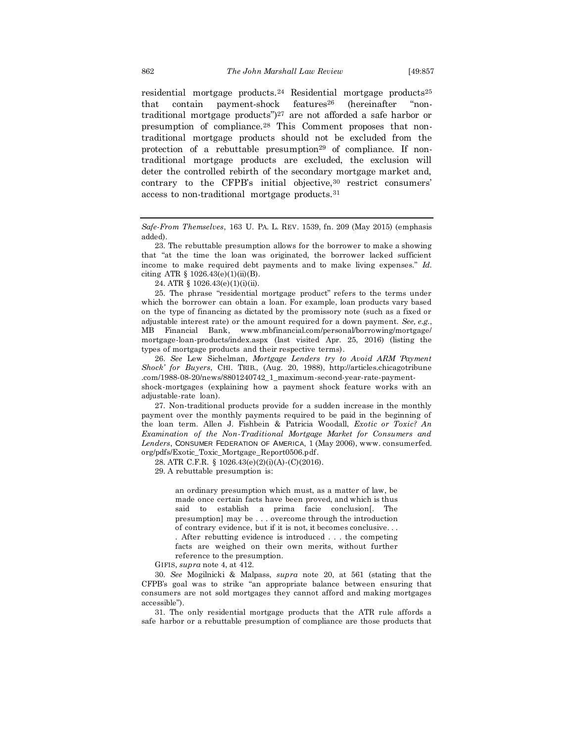residential mortgage products.<sup>24</sup> Residential mortgage products<sup>25</sup> that contain payment-shock features<sup>26</sup> (hereinafter "nontraditional mortgage products")<sup>27</sup> are not afforded a safe harbor or presumption of compliance.<sup>28</sup> This Comment proposes that nontraditional mortgage products should not be excluded from the protection of a rebuttable presumption<sup>29</sup> of compliance. If nontraditional mortgage products are excluded, the exclusion will deter the controlled rebirth of the secondary mortgage market and, contrary to the CFPB's initial objective, <sup>30</sup> restrict consumers' access to non-traditional mortgage products.<sup>31</sup>

*Safe-From Themselves*, 163 U. PA. L. REV. 1539, fn. 209 (May 2015) (emphasis added).

23. The rebuttable presumption allows for the borrower to make a showing that "at the time the loan was originated, the borrower lacked sufficient income to make required debt payments and to make living expenses." *Id.* citing ATR  $\S 1026.43(e)(1)(ii)(B)$ .

24. ATR § 1026.43(e)(1)(i)(ii).

25. The phrase "residential mortgage product" refers to the terms under which the borrower can obtain a loan. For example, loan products vary based on the type of financing as dictated by the promissory note (such as a fixed or adjustable interest rate) or the amount required for a down payment. *See, e.g.*, MB Financial Bank, www.mbfinancial.com/personal/borrowing/mortgage/ mortgage-loan-products/index.aspx (last visited Apr. 25, 2016) (listing the types of mortgage products and their respective terms).

26. *See* Lew Sichelman, *Mortgage Lenders try to Avoid ARM 'Payment Shock' for Buyers*, CHI. TRIB., (Aug. 20, 1988), http://articles.chicagotribune .com/1988-08-20/news/8801240742\_1\_maximum-second-year-rate-payment-

shock-mortgages (explaining how a payment shock feature works with an adjustable-rate loan).

27. Non-traditional products provide for a sudden increase in the monthly payment over the monthly payments required to be paid in the beginning of the loan term. Allen J. Fishbein & Patricia Woodall, *Exotic or Toxic? An Examination of the Non-Traditional Mortgage Market for Consumers and Lenders*, CONSUMER FEDERATION OF AMERICA, 1 (May 2006), www. consumerfed. org/pdfs/Exotic\_Toxic\_Mortgage\_Report0506.pdf.

28. ATR C.F.R. § 1026.43(e)(2)(i)(A)-(C)(2016).

29. A rebuttable presumption is:

an ordinary presumption which must, as a matter of law, be made once certain facts have been proved, and which is thus said to establish a prima facie conclusion[. The presumption] may be . . . overcome through the introduction of contrary evidence, but if it is not, it becomes conclusive. . . . After rebutting evidence is introduced . . . the competing facts are weighed on their own merits, without further reference to the presumption.

GIFIS, *supra* note 4, at 412.

30. *See* Mogilnicki & Malpass, *supra* note 20, at 561 (stating that the CFPB's goal was to strike "an appropriate balance between ensuring that consumers are not sold mortgages they cannot afford and making mortgages accessible").

31. The only residential mortgage products that the ATR rule affords a safe harbor or a rebuttable presumption of compliance are those products that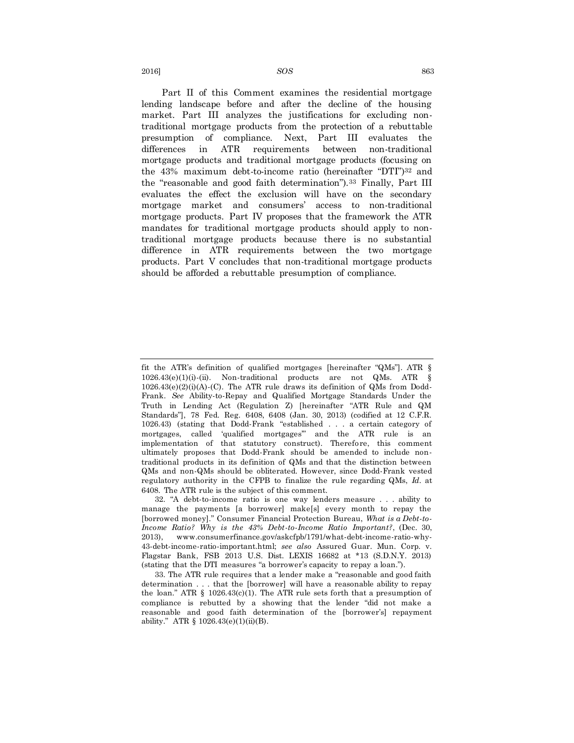Part II of this Comment examines the residential mortgage lending landscape before and after the decline of the housing market. Part III analyzes the justifications for excluding nontraditional mortgage products from the protection of a rebuttable presumption of compliance. Next, Part III evaluates the differences in ATR requirements between non-traditional mortgage products and traditional mortgage products (focusing on the 43% maximum debt-to-income ratio (hereinafter "DTI")<sup>32</sup> and the "reasonable and good faith determination").<sup>33</sup> Finally, Part III evaluates the effect the exclusion will have on the secondary mortgage market and consumers' access to non-traditional mortgage products. Part IV proposes that the framework the ATR mandates for traditional mortgage products should apply to nontraditional mortgage products because there is no substantial difference in ATR requirements between the two mortgage products. Part V concludes that non-traditional mortgage products should be afforded a rebuttable presumption of compliance.

fit the ATR's definition of qualified mortgages [hereinafter "QMs"]. ATR § 1026.43(e)(1)(i)-(ii). Non-traditional products are not QMs. ATR §  $1026.43(e)(2)(i)(A)-(C)$ . The ATR rule draws its definition of QMs from Dodd-Frank. *See* Ability-to-Repay and Qualified Mortgage Standards Under the Truth in Lending Act (Regulation Z) [hereinafter "ATR Rule and QM Standards"], 78 Fed. Reg. 6408, 6408 (Jan. 30, 2013) (codified at 12 C.F.R. 1026.43) (stating that Dodd-Frank "established . . . a certain category of mortgages, called 'qualified mortgages'" and the ATR rule is an implementation of that statutory construct). Therefore, this comment ultimately proposes that Dodd-Frank should be amended to include nontraditional products in its definition of QMs and that the distinction between QMs and non-QMs should be obliterated. However, since Dodd-Frank vested regulatory authority in the CFPB to finalize the rule regarding QMs, *Id.* at 6408. The ATR rule is the subject of this comment.

<sup>32.</sup> "A debt-to-income ratio is one way lenders measure . . . ability to manage the payments [a borrower] make[s] every month to repay the [borrowed money]." Consumer Financial Protection Bureau, *What is a Debt-to-Income Ratio? Why is the 43% Debt-to-Income Ratio Important?*, (Dec. 30, 2013), www.consumerfinance.gov/askcfpb/1791/what-debt-income-ratio-why-43-debt-income-ratio-important.html; *see also* Assured Guar. Mun. Corp. v. Flagstar Bank, FSB 2013 U.S. Dist. LEXIS 16682 at \*13 (S.D.N.Y. 2013) (stating that the DTI measures "a borrower's capacity to repay a loan.").

<sup>33.</sup> The ATR rule requires that a lender make a "reasonable and good faith determination . . . that the [borrower] will have a reasonable ability to repay the loan." ATR  $\S$  1026.43(c)(1). The ATR rule sets forth that a presumption of compliance is rebutted by a showing that the lender "did not make a reasonable and good faith determination of the [borrower's] repayment ability." ATR  $\S$  1026.43(e)(1)(ii)(B).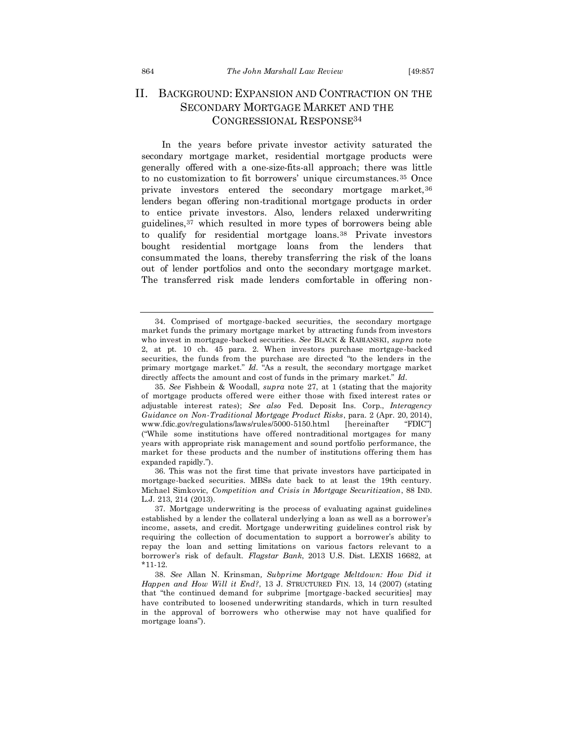## II. BACKGROUND: EXPANSION AND CONTRACTION ON THE SECONDARY MORTGAGE MARKET AND THE CONGRESSIONAL RESPONSE<sup>34</sup>

In the years before private investor activity saturated the secondary mortgage market, residential mortgage products were generally offered with a one-size-fits-all approach; there was little to no customization to fit borrowers' unique circumstances.<sup>35</sup> Once private investors entered the secondary mortgage market,<sup>36</sup> lenders began offering non-traditional mortgage products in order to entice private investors. Also, lenders relaxed underwriting guidelines,<sup>37</sup> which resulted in more types of borrowers being able to qualify for residential mortgage loans.<sup>38</sup> Private investors bought residential mortgage loans from the lenders that consummated the loans, thereby transferring the risk of the loans out of lender portfolios and onto the secondary mortgage market. The transferred risk made lenders comfortable in offering non-

<sup>34.</sup> Comprised of mortgage-backed securities, the secondary mortgage market funds the primary mortgage market by attracting funds from investors who invest in mortgage-backed securities. *See* BLACK & RABIANSKI, *supra* note 2, at pt. 10 ch. 45 para. 2. When investors purchase mortgage -backed securities, the funds from the purchase are directed "to the lenders in the primary mortgage market." *Id.* "As a result, the secondary mortgage market directly affects the amount and cost of funds in the primary market." *Id.*

<sup>35.</sup> *See* Fishbein & Woodall, *supra* note 27, at 1 (stating that the majority of mortgage products offered were either those with fixed interest rates or adjustable interest rates); *See also* Fed. Deposit Ins. Corp., *Interagency Guidance on Non-Traditional Mortgage Product Risks*, para. 2 (Apr. 20, 2014), www.fdic.gov/regulations/laws/rules/5000-5150.html [hereinafter "FDIC"] ("While some institutions have offered nontraditional mortgages for many years with appropriate risk management and sound portfolio performance, the market for these products and the number of institutions offering them has expanded rapidly.").

<sup>36.</sup> This was not the first time that private investors have participated in mortgage-backed securities. MBSs date back to at least the 19th century. Michael Simkovic, *Competition and Crisis in Mortgage Securitization*, 88 IND. L.J. 213, 214 (2013).

<sup>37.</sup> Mortgage underwriting is the process of evaluating against guidelines established by a lender the collateral underlying a loan as well as a borrower's income, assets, and credit. Mortgage underwriting guidelines control risk by requiring the collection of documentation to support a borrower's ability to repay the loan and setting limitations on various factors relevant to a borrower's risk of default. *Flagstar Bank*, 2013 U.S. Dist. LEXIS 16682, at \*11-12.

<sup>38.</sup> *See* Allan N. Krinsman*, Subprime Mortgage Meltdown: How Did it Happen and How Will it End?*, 13 J. STRUCTURED FIN. 13, 14 (2007) (stating that "the continued demand for subprime [mortgage-backed securities] may have contributed to loosened underwriting standards, which in turn resulted in the approval of borrowers who otherwise may not have qualified for mortgage loans").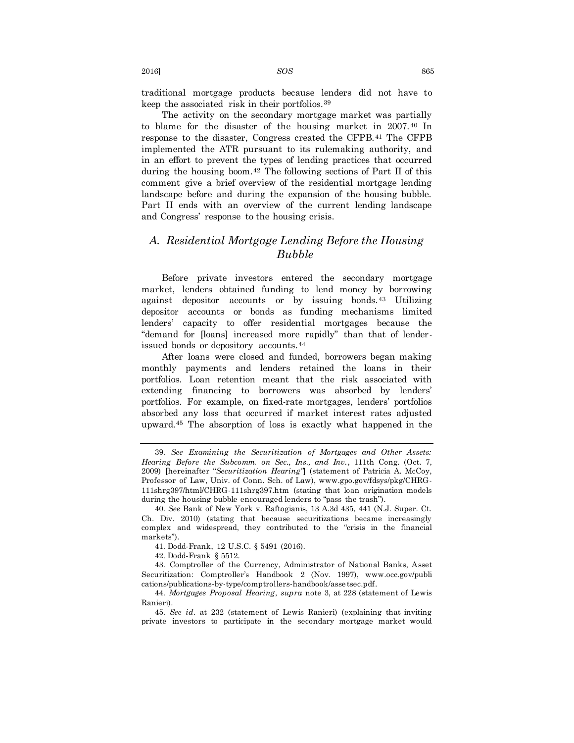traditional mortgage products because lenders did not have to keep the associated risk in their portfolios.<sup>39</sup>

The activity on the secondary mortgage market was partially to blame for the disaster of the housing market in 2007.<sup>40</sup> In response to the disaster, Congress created the CFPB.<sup>41</sup> The CFPB implemented the ATR pursuant to its rulemaking authority, and in an effort to prevent the types of lending practices that occurred during the housing boom.<sup>42</sup> The following sections of Part II of this comment give a brief overview of the residential mortgage lending landscape before and during the expansion of the housing bubble. Part II ends with an overview of the current lending landscape and Congress' response to the housing crisis.

## *A. Residential Mortgage Lending Before the Housing Bubble*

Before private investors entered the secondary mortgage market, lenders obtained funding to lend money by borrowing against depositor accounts or by issuing bonds.<sup>43</sup> Utilizing depositor accounts or bonds as funding mechanisms limited lenders' capacity to offer residential mortgages because the "demand for [loans] increased more rapidly" than that of lenderissued bonds or depository accounts.<sup>44</sup>

After loans were closed and funded, borrowers began making monthly payments and lenders retained the loans in their portfolios. Loan retention meant that the risk associated with extending financing to borrowers was absorbed by lenders' portfolios. For example, on fixed-rate mortgages, lenders' portfolios absorbed any loss that occurred if market interest rates adjusted upward.<sup>45</sup> The absorption of loss is exactly what happened in the

<sup>39.</sup> *See Examining the Securitization of Mortgages and Other Assets: Hearing Before the Subcomm. on Sec., Ins., and Inv.*, 111th Cong. (Oct. 7, 2009) [hereinafter "*Securitization Hearing"*] (statement of Patricia A. McCoy, Professor of Law, Univ. of Conn. Sch. of Law), www.gpo.gov/fdsys/pkg/CHRG-111shrg397/html/CHRG-111shrg397.htm (stating that loan origination models during the housing bubble encouraged lenders to "pass the trash").

<sup>40.</sup> *See* Bank of New York v. Raftogianis, 13 A.3d 435, 441 (N.J. Super. Ct. Ch. Div. 2010) (stating that because securitizations became increasingly complex and widespread, they contributed to the "crisis in the financial markets").

<sup>41.</sup> Dodd-Frank, 12 U.S.C. § 5491 (2016).

<sup>42.</sup> Dodd-Frank § 5512.

<sup>43.</sup> Comptroller of the Currency, Administrator of National Banks, Asset Securitization: Comptroller's Handbook 2 (Nov. 1997), www.occ.gov/publi cations/publications-by-type/comptrollers-handbook/assetsec.pdf.

<sup>44.</sup> *Mortgages Proposal Hearing*, *supra* note 3, at 228 (statement of Lewis Ranieri).

<sup>45.</sup> *See id.* at 232 (statement of Lewis Ranieri) (explaining that inviting private investors to participate in the secondary mortgage market would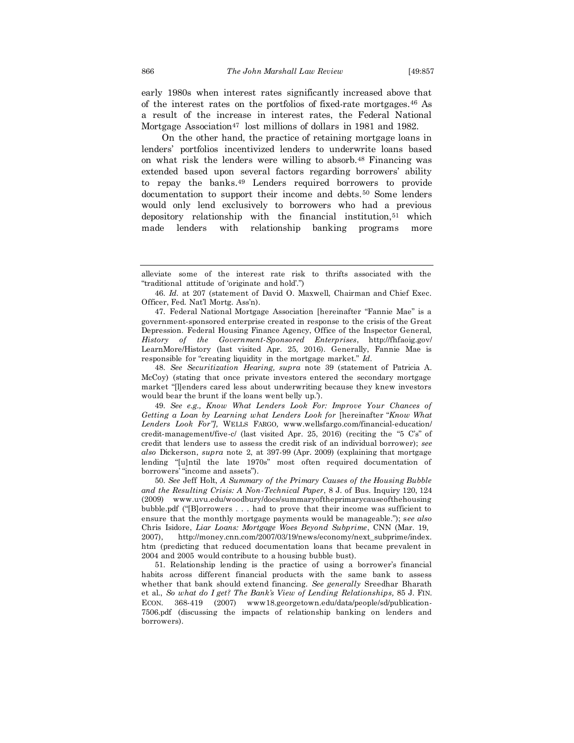early 1980s when interest rates significantly increased above that of the interest rates on the portfolios of fixed-rate mortgages.<sup>46</sup> As a result of the increase in interest rates, the Federal National Mortgage Association<sup>47</sup> lost millions of dollars in 1981 and 1982.

On the other hand, the practice of retaining mortgage loans in lenders' portfolios incentivized lenders to underwrite loans based on what risk the lenders were willing to absorb.<sup>48</sup> Financing was extended based upon several factors regarding borrowers' ability to repay the banks. <sup>49</sup> Lenders required borrowers to provide documentation to support their income and debts.<sup>50</sup> Some lenders would only lend exclusively to borrowers who had a previous depository relationship with the financial institution, <sup>51</sup> which made lenders with relationship banking programs more

48. *See Securitization Hearing, supra* note 39 (statement of Patricia A. McCoy) (stating that once private investors entered the secondary mortgage market "[l]enders cared less about underwriting because they knew investors would bear the brunt if the loans went belly up.').

49. *See e.g., Know What Lenders Look For: Improve Your Chances of Getting a Loan by Learning what Lenders Look for* [hereinafter "*Know What Lenders Look For"],* WELLS FARGO*,* www.wellsfargo.com/financial-education/ credit-management/five-c/ (last visited Apr. 25, 2016) (reciting the "5 C's" of credit that lenders use to assess the credit risk of an individual borrower); *see also* Dickerson, *supra* note 2, at 397-99 (Apr. 2009) (explaining that mortgage lending "[u]ntil the late 1970s" most often required documentation of borrowers' "income and assets").

50. *See* Jeff Holt, *A Summary of the Primary Causes of the Housing Bubble and the Resulting Crisis: A Non-Technical Paper*, 8 J. of Bus. Inquiry 120, 124 (2009) www.uvu.edu/woodbury/docs/summaryoftheprimarycauseofthehousing bubble.pdf ("[B]orrowers . . . had to prove that their income was sufficient to ensure that the monthly mortgage payments would be manageable."); s*ee also*  Chris Isidore, *Liar Loans: Mortgage Woes Beyond Subprime*, CNN (Mar. 19, 2007), http://money.cnn.com/2007/03/19/news/economy/next\_subprime/index. htm (predicting that reduced documentation loans that became prevalent in 2004 and 2005 would contribute to a housing bubble bust).

51. Relationship lending is the practice of using a borrower's financial habits across different financial products with the same bank to assess whether that bank should extend financing. *See generally* Sreedhar Bharath et al., *So what do I get? The Bank's View of Lending Relationships,* 85 J. FIN. ECON. 368-419 (2007) www18.georgetown.edu/data/people/sd/publication-7506.pdf (discussing the impacts of relationship banking on lenders and borrowers).

alleviate some of the interest rate risk to thrifts associated with the "traditional attitude of 'originate and hold'.")

<sup>46.</sup> *Id.* at 207 (statement of David O. Maxwell, Chairman and Chief Exec. Officer, Fed. Nat'l Mortg. Ass'n).

<sup>47.</sup> Federal National Mortgage Association [hereinafter "Fannie Mae" is a government-sponsored enterprise created in response to the crisis of the Great Depression. Federal Housing Finance Agency, Office of the Inspector General, *History of the Government-Sponsored Enterprises*, http://fhfaoig.gov/ LearnMore/History (last visited Apr. 25, 2016). Generally, Fannie Mae is responsible for "creating liquidity in the mortgage market." *Id.*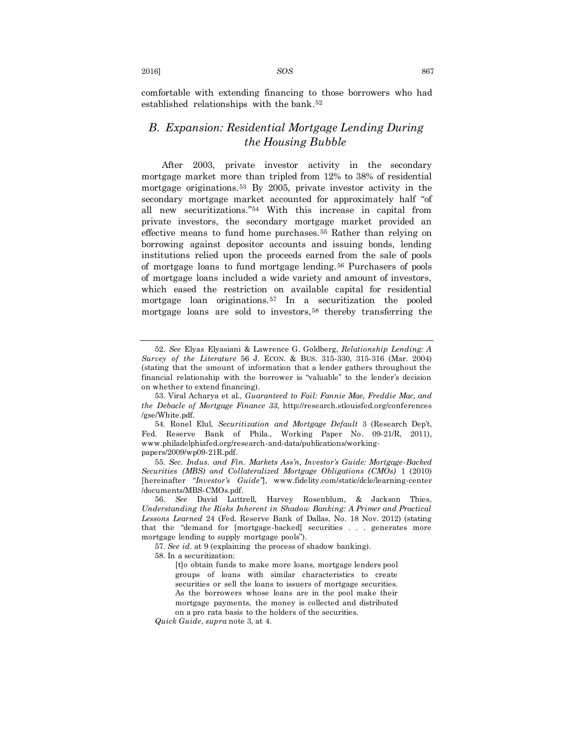2016] *SOS* 867

comfortable with extending financing to those borrowers who had established relationships with the bank. 52

## *B. Expansion: Residential Mortgage Lending During the Housing Bubble*

After 2003, private investor activity in the secondary mortgage market more than tripled from 12% to 38% of residential mortgage originations.<sup>53</sup> By 2005, private investor activity in the secondary mortgage market accounted for approximately half "of all new securitizations."<sup>54</sup> With this increase in capital from private investors, the secondary mortgage market provided an effective means to fund home purchases.<sup>55</sup> Rather than relying on borrowing against depositor accounts and issuing bonds, lending institutions relied upon the proceeds earned from the sale of pools of mortgage loans to fund mortgage lending.<sup>56</sup> Purchasers of pools of mortgage loans included a wide variety and amount of investors, which eased the restriction on available capital for residential mortgage loan originations.<sup>57</sup> In a securitization the pooled mortgage loans are sold to investors,<sup>58</sup> thereby transferring the

55. *Sec. Indus. and Fin. Markets Ass'n, Investor's Guide: Mortgage-Backed Securities (MBS) and Collateralized Mortgage Obligations (CMOs)* 1 (2010) [hereinafter "*Investor's Guide"*], www.fidelity.com/static/dcle/learning-center /documents/MBS-CMOs.pdf.

<sup>52.</sup> *See* Elyas Elyasiani & Lawrence G. Goldberg, *Relationship Lending: A Survey of the Literature* 56 J. ECON. & BUS. 315-330, 315-316 (Mar. 2004) (stating that the amount of information that a lender gathers throughout the financial relationship with the borrower is "valuable" to the lender's decision on whether to extend financing).

<sup>53.</sup> Viral Acharya et al., *Guaranteed to Fail: Fannie Mae, Freddie Mac, and the Debacle of Mortgage Finance 33*, http://research.stlouisfed.org/conferences /gse/White.pdf.

<sup>54.</sup> Ronel Elul, *Securitization and Mortgage Default* 3 (Research Dep't, Fed. Reserve Bank of Phila., Working Paper No. 09-21/R, 2011), www.philadelphiafed.org/research-and-data/publications/workingpapers/2009/wp09-21R.pdf.

<sup>56.</sup> *See* David Luttrell, Harvey Rosenblum, & Jackson Thies, *Understanding the Risks Inherent in Shadow Banking: A Primer and Practical Lessons Learned* 24 (Fed. Reserve Bank of Dallas, No. 18 Nov. 2012) (stating that the "demand for [mortgage-backed] securities . . . generates more mortgage lending to supply mortgage pools").

<sup>57.</sup> *See id.* at 9 (explaining the process of shadow banking).

<sup>58.</sup> In a securitization:

<sup>[</sup>t]o obtain funds to make more loans, mortgage lenders pool groups of loans with similar characteristics to create securities or sell the loans to issuers of mortgage securities. As the borrowers whose loans are in the pool make their mortgage payments, the money is collected and distributed on a pro rata basis to the holders of the securities.

*Quick Guide*, *supra* note 3, at 4.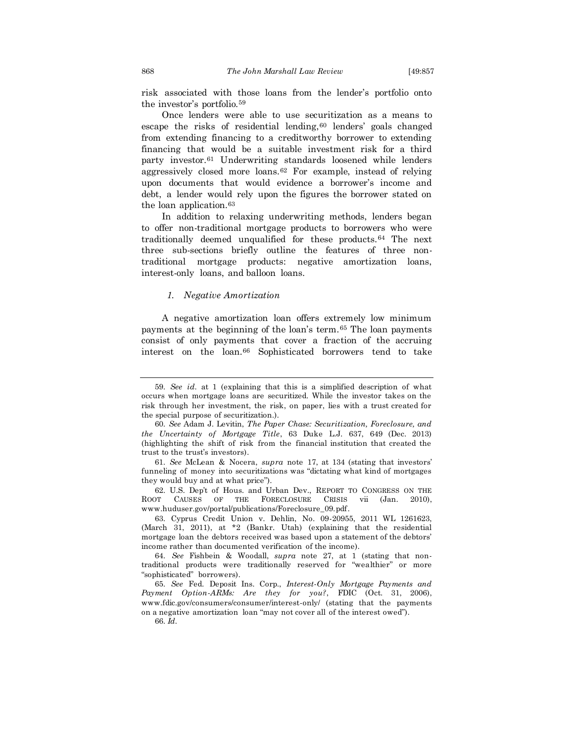risk associated with those loans from the lender's portfolio onto the investor's portfolio.<sup>59</sup>

Once lenders were able to use securitization as a means to escape the risks of residential lending,  $60$  lenders' goals changed from extending financing to a creditworthy borrower to extending financing that would be a suitable investment risk for a third party investor.<sup>61</sup> Underwriting standards loosened while lenders aggressively closed more loans.<sup>62</sup> For example, instead of relying upon documents that would evidence a borrower's income and debt, a lender would rely upon the figures the borrower stated on the loan application.<sup>63</sup>

In addition to relaxing underwriting methods, lenders began to offer non-traditional mortgage products to borrowers who were traditionally deemed unqualified for these products.<sup>64</sup> The next three sub-sections briefly outline the features of three nontraditional mortgage products: negative amortization loans, interest-only loans, and balloon loans.

### *1. Negative Amortization*

A negative amortization loan offers extremely low minimum payments at the beginning of the loan's term.<sup>65</sup> The loan payments consist of only payments that cover a fraction of the accruing interest on the loan.<sup>66</sup> Sophisticated borrowers tend to take

62. U.S. Dep't of Hous. and Urban Dev., REPORT TO CONGRESS ON THE ROOT CAUSES OF THE FORECLOSURE CRISIS vii (Jan. 2010), www.huduser.gov/portal/publications/Foreclosure\_09.pdf.

63. Cyprus Credit Union v. Dehlin, No. 09-20955, 2011 WL 1261623, (March 31, 2011), at \*2 (Bankr. Utah) (explaining that the residential mortgage loan the debtors received was based upon a statement of the debtors' income rather than documented verification of the income).

64. *See* Fishbein & Woodall, *supra* note 27, at 1 (stating that nontraditional products were traditionally reserved for "wealthier" or more "sophisticated" borrowers).

65. *See* Fed. Deposit Ins. Corp., *Interest-Only Mortgage Payments and Payment Option-ARMs: Are they for you?*, FDIC (Oct. 31, 2006), www.fdic.gov/consumers/consumer/interest-only/ (stating that the payments on a negative amortization loan "may not cover all of the interest owed"). 66. *Id.*

<sup>59.</sup> *See id.* at 1 (explaining that this is a simplified description of what occurs when mortgage loans are securitized. While the investor takes on the risk through her investment, the risk, on paper, lies with a trust created for the special purpose of securitization.).

<sup>60.</sup> *See* Adam J. Levitin, *The Paper Chase: Securitization, Foreclosure, and the Uncertainty of Mortgage Title*, 63 Duke L.J. 637, 649 (Dec. 2013) (highlighting the shift of risk from the financial institution that created the trust to the trust's investors).

<sup>61.</sup> *See* McLean & Nocera, *supra* note 17, at 134 (stating that investors' funneling of money into securitizations was "dictating what kind of mortgages they would buy and at what price").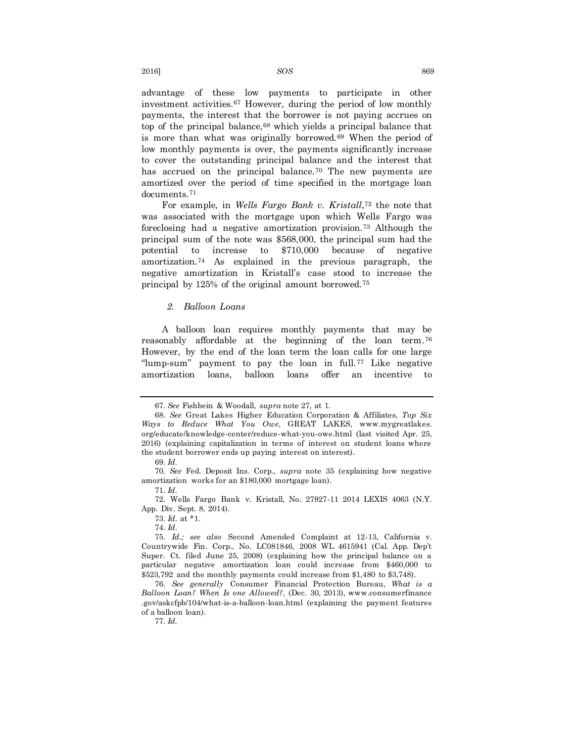advantage of these low payments to participate in other investment activities.<sup>67</sup> However, during the period of low monthly payments, the interest that the borrower is not paying accrues on top of the principal balance,<sup>68</sup> which yields a principal balance that is more than what was originally borrowed.<sup>69</sup> When the period of low monthly payments is over, the payments significantly increase to cover the outstanding principal balance and the interest that has accrued on the principal balance.<sup>70</sup> The new payments are amortized over the period of time specified in the mortgage loan documents.<sup>71</sup>

For example, in *Wells Fargo Bank v. Kristall*, <sup>72</sup> the note that was associated with the mortgage upon which Wells Fargo was foreclosing had a negative amortization provision.<sup>73</sup> Although the principal sum of the note was \$568,000, the principal sum had the potential to increase to \$710,000 because of negative amortization.<sup>74</sup> As explained in the previous paragraph, the negative amortization in Kristall's case stood to increase the principal by 125% of the original amount borrowed.<sup>75</sup>

### *2. Balloon Loans*

A balloon loan requires monthly payments that may be reasonably affordable at the beginning of the loan term.<sup>76</sup> However, by the end of the loan term the loan calls for one large "lump-sum" payment to pay the loan in full.<sup>77</sup> Like negative amortization loans, balloon loans offer an incentive to

71. *Id.*

77. *Id.*

<sup>67.</sup> *See* Fishbein & Woodall, *supra* note 27, at 1.

<sup>68.</sup> *See* Great Lakes Higher Education Corporation & Affiliates, *Top Six Ways to Reduce What You Owe*, GREAT LAKES, www.mygreatlakes. org/educate/knowledge-center/reduce-what-you-owe.html (last visited Apr. 25, 2016) (explaining capitalization in terms of interest on student loans where the student borrower ends up paying interest on interest).

<sup>69.</sup> *Id.*

<sup>70.</sup> *See* Fed. Deposit Ins. Corp., *supra* note 35 (explaining how negative amortization works for an \$180,000 mortgage loan).

<sup>72.</sup> Wells Fargo Bank v. Kristall, No. 27927-11 2014 LEXIS 4063 (N.Y. App. Div. Sept. 8, 2014).

<sup>73.</sup> *Id.* at \*1.

<sup>74.</sup> *Id.*

<sup>75.</sup> *Id.; see also* Second Amended Complaint at 12-13, California v. Countrywide Fin. Corp., No. LC081846, 2008 WL 4615941 (Cal. App. Dep't Super. Ct. filed June 25, 2008) (explaining how the principal balance on a particular negative amortization loan could increase from \$460,000 to \$523,792 and the monthly payments could increase from \$1,480 to \$3,748).

<sup>76.</sup> *See generally* Consumer Financial Protection Bureau, *What is a Balloon Loan? When Is one Allowed?*, (Dec. 30, 2013), www.consumerfinance .gov/askcfpb/104/what-is-a-balloon-loan.html (explaining the payment features of a balloon loan).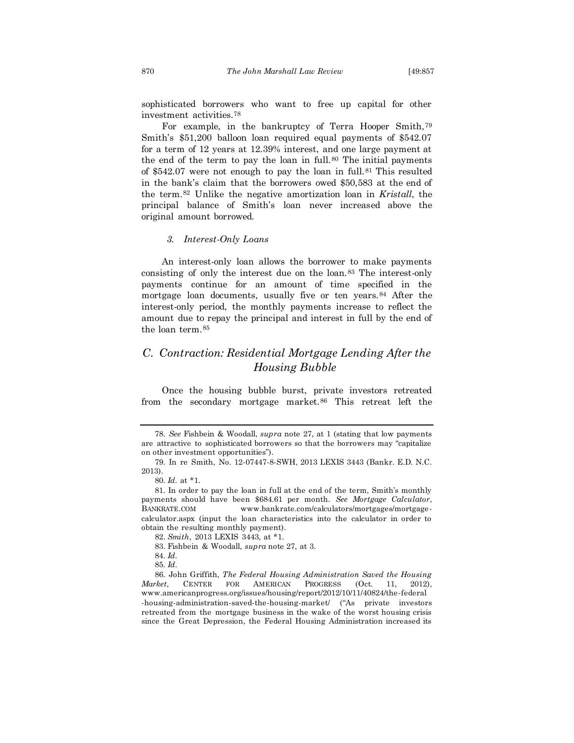sophisticated borrowers who want to free up capital for other investment activities.<sup>78</sup>

For example, in the bankruptcy of Terra Hooper Smith,<sup>79</sup> Smith's \$51,200 balloon loan required equal payments of \$542.07 for a term of 12 years at 12.39% interest, and one large payment at the end of the term to pay the loan in full.<sup>80</sup> The initial payments of \$542.07 were not enough to pay the loan in full.<sup>81</sup> This resulted in the bank's claim that the borrowers owed \$50,583 at the end of the term.<sup>82</sup> Unlike the negative amortization loan in *Kristall*, the principal balance of Smith's loan never increased above the original amount borrowed.

### *3. Interest-Only Loans*

An interest-only loan allows the borrower to make payments consisting of only the interest due on the loan.<sup>83</sup> The interest-only payments continue for an amount of time specified in the mortgage loan documents, usually five or ten years.<sup>84</sup> After the interest-only period, the monthly payments increase to reflect the amount due to repay the principal and interest in full by the end of the loan term.<sup>85</sup>

## *C. Contraction: Residential Mortgage Lending After the Housing Bubble*

Once the housing bubble burst, private investors retreated from the secondary mortgage market.<sup>86</sup> This retreat left the

<sup>78.</sup> *See* Fishbein & Woodall, *supra* note 27, at 1 (stating that low payments are attractive to sophisticated borrowers so that the borrowers may "capitalize on other investment opportunities").

<sup>79.</sup> In re Smith, No. 12-07447-8-SWH, 2013 LEXIS 3443 (Bankr. E.D. N.C. 2013).

<sup>80.</sup> *Id.* at \*1.

<sup>81.</sup> In order to pay the loan in full at the end of the term, Smith's monthly payments should have been \$684.61 per month. *See Mortgage Calculator*, BANKRATE.COM www.bankrate.com/calculators/mortgages/mortgagecalculator.aspx (input the loan characteristics into the calculator in order to obtain the resulting monthly payment).

<sup>82.</sup> *Smith*, 2013 LEXIS 3443, at \*1.

<sup>83.</sup> Fishbein & Woodall, *supra* note 27, at 3.

<sup>84.</sup> *Id.*

<sup>85.</sup> *Id.*

<sup>86.</sup> John Griffith, *The Federal Housing Administration Saved the Housing Market*, CENTER FOR AMERICAN PROGRESS (Oct. 11, 2012), www.americanprogress.org/issues/housing/report/2012/10/11/40824/the-federal -housing-administration-saved-the-housing-market/ ("As private investors retreated from the mortgage business in the wake of the worst housing crisis since the Great Depression, the Federal Housing Administration increased its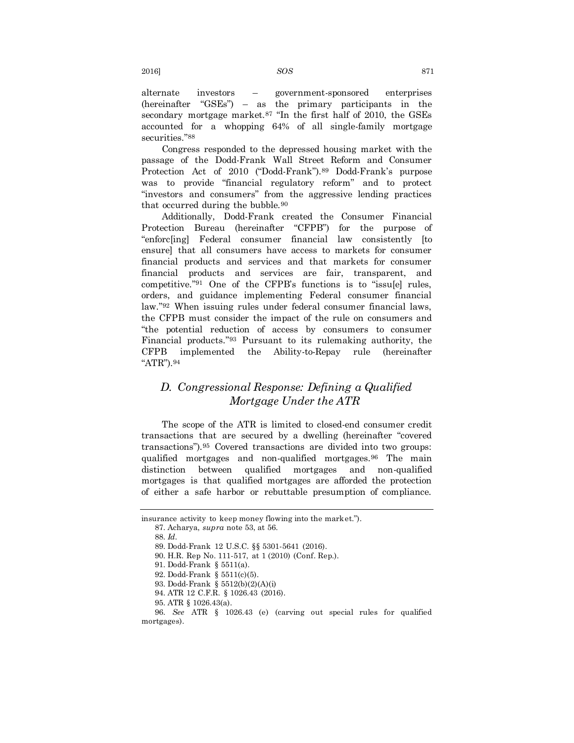alternate investors – government-sponsored enterprises (hereinafter "GSEs") – as the primary participants in the secondary mortgage market.<sup>87</sup> "In the first half of 2010, the GSEs accounted for a whopping 64% of all single-family mortgage securities."<sup>88</sup>

Congress responded to the depressed housing market with the passage of the Dodd-Frank Wall Street Reform and Consumer Protection Act of 2010 ("Dodd-Frank").<sup>89</sup> Dodd-Frank's purpose was to provide "financial regulatory reform" and to protect "investors and consumers" from the aggressive lending practices that occurred during the bubble.<sup>90</sup>

Additionally, Dodd-Frank created the Consumer Financial Protection Bureau (hereinafter "CFPB") for the purpose of "enforc[ing] Federal consumer financial law consistently [to ensure] that all consumers have access to markets for consumer financial products and services and that markets for consumer financial products and services are fair, transparent, and competitive."<sup>91</sup> One of the CFPB's functions is to "issu[e] rules, orders, and guidance implementing Federal consumer financial law."<sup>92</sup> When issuing rules under federal consumer financial laws, the CFPB must consider the impact of the rule on consumers and "the potential reduction of access by consumers to consumer Financial products."<sup>93</sup> Pursuant to its rulemaking authority, the CFPB implemented the Ability-to-Repay rule (hereinafter "ATR").<sup>94</sup>

## *D. Congressional Response: Defining a Qualified Mortgage Under the ATR*

The scope of the ATR is limited to closed-end consumer credit transactions that are secured by a dwelling (hereinafter "covered transactions").<sup>95</sup> Covered transactions are divided into two groups: qualified mortgages and non-qualified mortgages.<sup>96</sup> The main distinction between qualified mortgages and non-qualified mortgages is that qualified mortgages are afforded the protection of either a safe harbor or rebuttable presumption of compliance.

insurance activity to keep money flowing into the market.").

<sup>87.</sup> Acharya, *supra* note 53, at 56.

<sup>88.</sup> *Id.*

<sup>89.</sup> Dodd-Frank 12 U.S.C. §§ 5301-5641 (2016).

<sup>90.</sup> H.R. Rep No. 111-517, at 1 (2010) (Conf. Rep.).

<sup>91.</sup> Dodd-Frank § 5511(a).

<sup>92.</sup> Dodd-Frank § 5511(c)(5).

<sup>93.</sup> Dodd-Frank § 5512(b)(2)(A)(i)

<sup>94.</sup> ATR 12 C.F.R. § 1026.43 (2016).

<sup>95.</sup> ATR § 1026.43(a).

<sup>96.</sup> *See* ATR § 1026.43 (e) (carving out special rules for qualified mortgages).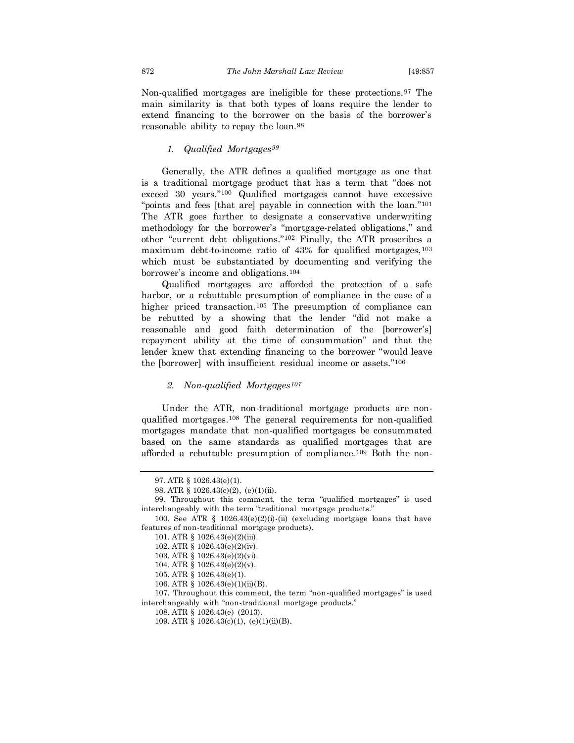Non-qualified mortgages are ineligible for these protections.<sup>97</sup> The main similarity is that both types of loans require the lender to extend financing to the borrower on the basis of the borrower's reasonable ability to repay the loan.<sup>98</sup>

### *1. Qualified Mortgages<sup>99</sup>*

Generally, the ATR defines a qualified mortgage as one that is a traditional mortgage product that has a term that "does not exceed 30 years."<sup>100</sup> Qualified mortgages cannot have excessive "points and fees [that are] payable in connection with the loan."<sup>101</sup> The ATR goes further to designate a conservative underwriting methodology for the borrower's "mortgage-related obligations," and other "current debt obligations."<sup>102</sup> Finally, the ATR proscribes a maximum debt-to-income ratio of 43% for qualified mortgages, 103 which must be substantiated by documenting and verifying the borrower's income and obligations.<sup>104</sup>

Qualified mortgages are afforded the protection of a safe harbor, or a rebuttable presumption of compliance in the case of a higher priced transaction.<sup>105</sup> The presumption of compliance can be rebutted by a showing that the lender "did not make a reasonable and good faith determination of the [borrower's] repayment ability at the time of consummation" and that the lender knew that extending financing to the borrower "would leave the [borrower] with insufficient residual income or assets."<sup>106</sup>

### *2. Non-qualified Mortgages<sup>107</sup>*

Under the ATR, non-traditional mortgage products are nonqualified mortgages. <sup>108</sup> The general requirements for non-qualified mortgages mandate that non-qualified mortgages be consummated based on the same standards as qualified mortgages that are afforded a rebuttable presumption of compliance.<sup>109</sup> Both the non-

<sup>97.</sup> ATR § 1026.43(e)(1).

<sup>98.</sup> ATR § 1026.43(c)(2), (e)(1)(ii).

<sup>99.</sup> Throughout this comment, the term "qualified mortgages" is used interchangeably with the term "traditional mortgage products."

<sup>100.</sup> See ATR § 1026.43(e)(2)(i)-(ii) (excluding mortgage loans that have features of non-traditional mortgage products).

<sup>101.</sup> ATR § 1026.43(e)(2)(iii).

<sup>102.</sup> ATR § 1026.43(e)(2)(iv).

<sup>103.</sup> ATR § 1026.43(e)(2)(vi).

<sup>104.</sup> ATR § 1026.43(e)(2)(v).

<sup>105.</sup> ATR § 1026.43(e)(1).

<sup>106.</sup> ATR § 1026.43(e)(1)(ii)(B).

<sup>107.</sup> Throughout this comment, the term "non-qualified mortgages" is used interchangeably with "non-traditional mortgage products."

<sup>108.</sup> ATR § 1026.43(e) (2013).

<sup>109.</sup> ATR  $§ 1026.43(c)(1)$ ,  $(e)(1)(ii)(B)$ .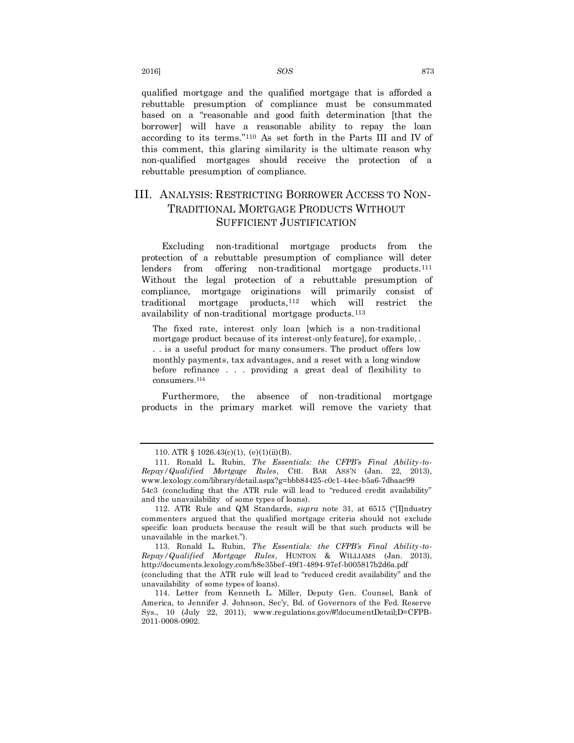qualified mortgage and the qualified mortgage that is afforded a rebuttable presumption of compliance must be consummated based on a "reasonable and good faith determination [that the borrower] will have a reasonable ability to repay the loan according to its terms."<sup>110</sup> As set forth in the Parts III and IV of this comment, this glaring similarity is the ultimate reason why non-qualified mortgages should receive the protection of a rebuttable presumption of compliance.

## III. ANALYSIS: RESTRICTING BORROWER ACCESS TO NON-TRADITIONAL MORTGAGE PRODUCTS WITHOUT SUFFICIENT JUSTIFICATION

Excluding non-traditional mortgage products from the protection of a rebuttable presumption of compliance will deter lenders from offering non-traditional mortgage products.<sup>111</sup> Without the legal protection of a rebuttable presumption of compliance, mortgage originations will primarily consist of traditional mortgage products,<sup>112</sup> which will restrict the availability of non-traditional mortgage products.<sup>113</sup>

The fixed rate, interest only loan [which is a non-traditional mortgage product because of its interest-only feature], for example, . . . is a useful product for many consumers. The product offers low monthly payments, tax advantages, and a reset with a long window before refinance . . . providing a great deal of flexibility to consumers.<sup>114</sup>

<span id="page-17-0"></span>Furthermore, the absence of non-traditional mortgage products in the primary market will remove the variety that

<sup>110.</sup> ATR  $§ 1026.43(c)(1)$ ,  $(e)(1)(ii)(B)$ .

<sup>111.</sup> Ronald L. Rubin, *The Essentials: the CFPB's Final Ability-to-Repay/Qualified Mortgage Rules*, CHI. BAR ASS'N (Jan. 22, 2013), www.lexology.com/library/detail.aspx?g=bbb84425-c0c1-44ec-b5a6-7dbaac99 54c3 (concluding that the ATR rule will lead to "reduced credit availability" and the unavailability of some types of loans).

<sup>112.</sup> ATR Rule and QM Standards, *supra* note 31, at 6515 ("[I]ndustry commenters argued that the qualified mortgage criteria should not exclude specific loan products because the result will be that such products will be unavailable in the market.").

<sup>113.</sup> Ronald L. Rubin, *The Essentials: the CFPB's Final Ability-to-Repay/Qualified Mortgage Rules*, HUNTON & WILLIAMS (Jan. 2013), http://documents.lexology.com/b8e35bef-49f1-4894-97ef-b005817b2d6a.pdf (concluding that the ATR rule will lead to "reduced credit availability" and the unavailability of some types of loans).

<sup>114.</sup> Letter from Kenneth L. Miller, Deputy Gen. Counsel, Bank of America, to Jennifer J. Johnson, Sec'y, Bd. of Governors of the Fed. Reserve Sys., 10 (July 22, 2011), www.regulations.gov/#!documentDetail;D=CFPB-2011-0008-0902.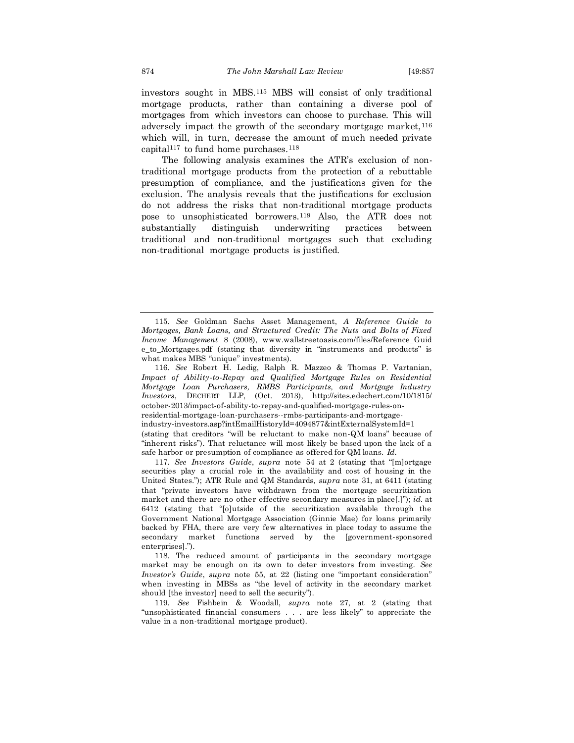investors sought in MBS.<sup>115</sup> MBS will consist of only traditional mortgage products, rather than containing a diverse pool of mortgages from which investors can choose to purchase. This will adversely impact the growth of the secondary mortgage market,  $^{116}$ which will, in turn, decrease the amount of much needed private capital<sup>117</sup> to fund home purchases.<sup>118</sup>

The following analysis examines the ATR's exclusion of nontraditional mortgage products from the protection of a rebuttable presumption of compliance, and the justifications given for the exclusion. The analysis reveals that the justifications for exclusion do not address the risks that non-traditional mortgage products pose to unsophisticated borrowers.<sup>119</sup> Also, the ATR does not substantially distinguish underwriting practices between traditional and non-traditional mortgages such that excluding non-traditional mortgage products is justified.

116. *See* Robert H. Ledig, Ralph R. Mazzeo & Thomas P. Vartanian, *Impact of Ability-to-Repay and Qualified Mortgage Rules on Residential Mortgage Loan Purchasers, RMBS Participants, and Mortgage Industry Investors*, DECHERT LLP, (Oct. 2013), http://sites.edechert.com/10/1815/ october-2013/impact-of-ability-to-repay-and-qualified-mortgage-rules-onresidential-mortgage-loan-purchasers--rmbs-participants-and-mortgageindustry-investors.asp?intEmailHistoryId=4094877&intExternalSystemId=1 (stating that creditors "will be reluctant to make non-QM loans" because of "inherent risks"). That reluctance will most likely be based upon the lack of a safe harbor or presumption of compliance as offered for QM loans. *Id.* 

117. *See Investors Guide*, *supra* note 54 at 2 (stating that "[m]ortgage securities play a crucial role in the availability and cost of housing in the United States."); ATR Rule and QM Standards, *supra* note 31, at 6411 (stating that "private investors have withdrawn from the mortgage securitization market and there are no other effective secondary measures in place[.]"); *id.* at 6412 (stating that "[o]utside of the securitization available through the Government National Mortgage Association (Ginnie Mae) for loans primarily backed by FHA, there are very few alternatives in place today to assume the secondary market functions served by the [government-sponsored enterprises].").

118. The reduced amount of participants in the secondary mortgage market may be enough on its own to deter investors from investing. *See Investor's Guide*, *supra* note 55, at 22 (listing one "important consideration" when investing in MBSs as "the level of activity in the secondary market should [the investor] need to sell the security").

119. *See* Fishbein & Woodall, *supra* note 27, at 2 (stating that "unsophisticated financial consumers . . . are less likely" to appreciate the value in a non-traditional mortgage product).

<sup>115.</sup> *See* Goldman Sachs Asset Management, *A Reference Guide to Mortgages, Bank Loans, and Structured Credit: The Nuts and Bolts of Fixed Income Management* 8 (2008), www.wallstreetoasis.com/files/Reference\_Guid e\_to\_Mortgages.pdf (stating that diversity in "instruments and products" is what makes MBS "unique" investments).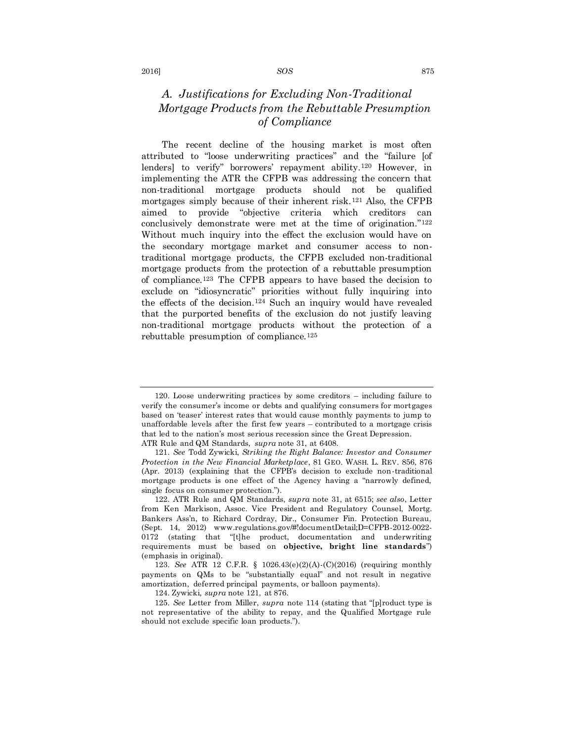## *A. Justifications for Excluding Non-Traditional Mortgage Products from the Rebuttable Presumption of Compliance*

The recent decline of the housing market is most often attributed to "loose underwriting practices" and the "failure [of lenders] to verify" borrowers' repayment ability.<sup>120</sup> However, in implementing the ATR the CFPB was addressing the concern that non-traditional mortgage products should not be qualified mortgages simply because of their inherent risk.<sup>121</sup> Also, the CFPB aimed to provide "objective criteria which creditors can conclusively demonstrate were met at the time of origination."<sup>122</sup> Without much inquiry into the effect the exclusion would have on the secondary mortgage market and consumer access to nontraditional mortgage products, the CFPB excluded non-traditional mortgage products from the protection of a rebuttable presumption of compliance.<sup>123</sup> The CFPB appears to have based the decision to exclude on "idiosyncratic" priorities without fully inquiring into the effects of the decision.<sup>124</sup> Such an inquiry would have revealed that the purported benefits of the exclusion do not justify leaving non-traditional mortgage products without the protection of a rebuttable presumption of compliance.<sup>125</sup>

<sup>120.</sup> Loose underwriting practices by some creditors – including failure to verify the consumer's income or debts and qualifying consumers for mortgages based on 'teaser' interest rates that would cause monthly payments to jump to unaffordable levels after the first few years – contributed to a mortgage crisis that led to the nation's most serious recession since the Great Depression. ATR Rule and QM Standards, *supra* note 31, at 6408.

<sup>121.</sup> *See* Todd Zywicki, *Striking the Right Balance: Investor and Consumer Protection in the New Financial Marketplace*, 81 GEO. WASH. L. REV. 856, 876 (Apr. 2013) (explaining that the CFPB's decision to exclude non-traditional mortgage products is one effect of the Agency having a "narrowly defined, single focus on consumer protection.").

<sup>122.</sup> ATR Rule and QM Standards, *supra* note 31, at 6515; *see also*, Letter from Ken Markison, Assoc. Vice President and Regulatory Counsel, Mortg. Bankers Ass'n, to Richard Cordray, Dir., Consumer Fin. Protection Bureau, (Sept. 14, 2012) www.regulations.gov/#!documentDetail;D=CFPB-2012-0022- 0172 (stating that "[t]he product, documentation and underwriting requirements must be based on **objective, bright line standards**") (emphasis in original).

<sup>123.</sup> *See* ATR 12 C.F.R. § 1026.43(e)(2)(A)-(C)(2016) (requiring monthly payments on QMs to be "substantially equal" and not result in negative amortization, deferred principal payments, or balloon payments).

<sup>124.</sup> Zywicki*, supra* note 121, at 876.

<sup>125.</sup> *See* Letter from Miller, *supra* note 114 (stating that "[p]roduct type is not representative of the ability to repay, and the Qualified Mortgage rule should not exclude specific loan products.").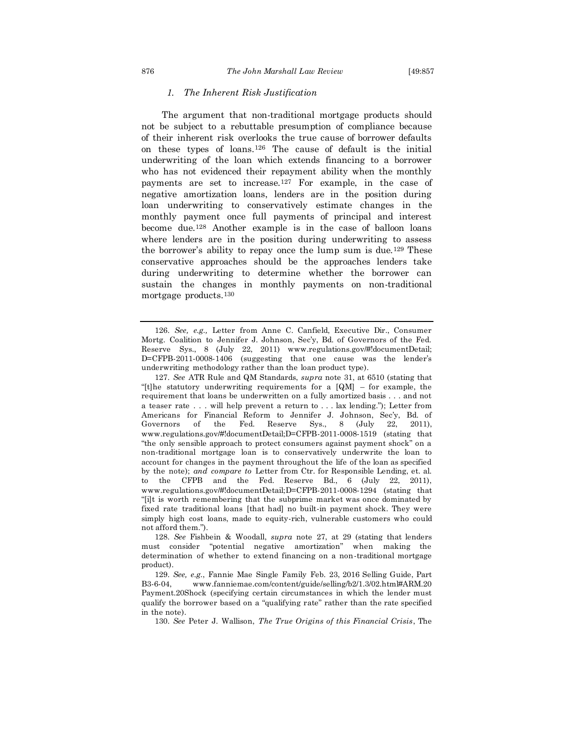### *1. The Inherent Risk Justification*

The argument that non-traditional mortgage products should not be subject to a rebuttable presumption of compliance because of their inherent risk overlooks the true cause of borrower defaults on these types of loans.<sup>126</sup> The cause of default is the initial underwriting of the loan which extends financing to a borrower who has not evidenced their repayment ability when the monthly payments are set to increase.<sup>127</sup> For example, in the case of negative amortization loans, lenders are in the position during loan underwriting to conservatively estimate changes in the monthly payment once full payments of principal and interest become due.<sup>128</sup> Another example is in the case of balloon loans where lenders are in the position during underwriting to assess the borrower's ability to repay once the lump sum is due.<sup>129</sup> These conservative approaches should be the approaches lenders take during underwriting to determine whether the borrower can sustain the changes in monthly payments on non-traditional mortgage products.<sup>130</sup>

<sup>126.</sup> *See, e.g.,* Letter from Anne C. Canfield, Executive Dir., Consumer Mortg. Coalition to Jennifer J. Johnson, Sec'y, Bd. of Governors of the Fed. Reserve Sys., 8 (July 22, 2011) www.regulations.gov/#!documentDetail; D=CFPB-2011-0008-1406 (suggesting that one cause was the lender's underwriting methodology rather than the loan product type).

<sup>127.</sup> *See* ATR Rule and QM Standards, *supra* note 31, at 6510 (stating that "[t]he statutory underwriting requirements for a  $[QM]$  – for example, the requirement that loans be underwritten on a fully amortized basis . . . and not a teaser rate . . . will help prevent a return to . . . lax lending."); Letter from Americans for Financial Reform to Jennifer J. Johnson, Sec'y, Bd. of Governors of the Fed. Reserve Sys., 8 (July 22, 2011), www.regulations.gov/#!documentDetail;D=CFPB-2011-0008-1519 (stating that "the only sensible approach to protect consumers against payment shock" on a non-traditional mortgage loan is to conservatively underwrite the loan to account for changes in the payment throughout the life of the loan as specified by the note); *and compare to* Letter from Ctr. for Responsible Lending, et. al. to the CFPB and the Fed. Reserve Bd., 6 (July 22, 2011), www.regulations.gov/#!documentDetail;D=CFPB-2011-0008-1294 (stating that "[i]t is worth remembering that the subprime market was once dominated by fixed rate traditional loans [that had] no built-in payment shock. They were simply high cost loans, made to equity-rich, vulnerable customers who could not afford them.").

<sup>128.</sup> *See* Fishbein & Woodall, *supra* note 27, at 29 (stating that lenders must consider "potential negative amortization" when making the determination of whether to extend financing on a non-traditional mortgage product).

<sup>129.</sup> *See, e.g.*, Fannie Mae Single Family Feb. 23, 2016 Selling Guide, Part B3-6-04, www.fanniemae.com/content/guide/selling/b2/1.3/02.html#ARM.20 Payment.20Shock (specifying certain circumstances in which the lender must qualify the borrower based on a "qualifying rate" rather than the rate specified in the note).

<sup>130.</sup> *See* Peter J. Wallison, *The True Origins of this Financial Crisis*, The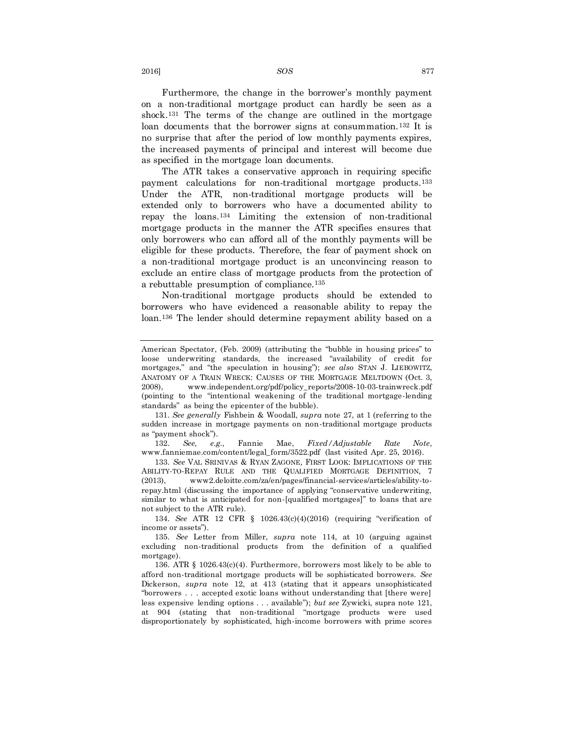Furthermore, the change in the borrower's monthly payment on a non-traditional mortgage product can hardly be seen as a shock.<sup>131</sup> The terms of the change are outlined in the mortgage loan documents that the borrower signs at consummation.<sup>132</sup> It is no surprise that after the period of low monthly payments expires, the increased payments of principal and interest will become due as specified in the mortgage loan documents.

The ATR takes a conservative approach in requiring specific payment calculations for non-traditional mortgage products.<sup>133</sup> Under the ATR, non-traditional mortgage products will be extended only to borrowers who have a documented ability to repay the loans.<sup>134</sup> Limiting the extension of non-traditional mortgage products in the manner the ATR specifies ensures that only borrowers who can afford all of the monthly payments will be eligible for these products. Therefore, the fear of payment shock on a non-traditional mortgage product is an unconvincing reason to exclude an entire class of mortgage products from the protection of a rebuttable presumption of compliance.<sup>135</sup>

Non-traditional mortgage products should be extended to borrowers who have evidenced a reasonable ability to repay the loan.<sup>136</sup> The lender should determine repayment ability based on a

131. *See generally* Fishbein & Woodall, *supra* note 27, at 1 (referring to the sudden increase in mortgage payments on non-traditional mortgage products as "payment shock").

132. *See, e.g.*, Fannie Mae, *Fixed/Adjustable Rate Note*, www.fanniemae.com/content/legal\_form/3522.pdf (last visited Apr. 25, 2016).

133. *See* VAL SRINIVAS & RYAN ZAGONE*,* FIRST LOOK: IMPLICATIONS OF THE ABILITY-TO-REPAY RULE AND THE QUALIFIED MORTGAGE DEFINITION, 7 (2013), www2.deloitte.com/za/en/pages/financial-services/articles/ability-torepay.html (discussing the importance of applying "conservative underwriting, similar to what is anticipated for non-[qualified mortgages]" to loans that are not subject to the ATR rule).

134. *See* ATR 12 CFR § 1026.43(c)(4)(2016) (requiring "verification of income or assets").

135. *See* Letter from Miller, *supra* note [114,](#page-17-0) at 10 (arguing against excluding non-traditional products from the definition of a qualified mortgage).

136. ATR § 1026.43(c)(4). Furthermore, borrowers most likely to be able to afford non-traditional mortgage products will be sophisticated borrowers. *See*  Dickerson, *supra* note 12, at 413 (stating that it appears unsophisticated "borrowers . . . accepted exotic loans without understanding that [there were] less expensive lending options . . . available"); *but see* Zywicki, supra note 121, at 904 (stating that non-traditional "mortgage products were used disproportionately by sophisticated, high-income borrowers with prime scores

2016] *SOS* 877

American Spectator, (Feb. 2009) (attributing the "bubble in housing prices" to loose underwriting standards, the increased "availability of credit for mortgages," and "the speculation in housing"); *see also* STAN J. LIEBOWITZ, ANATOMY OF A TRAIN WRECK: CAUSES OF THE MORTGAGE MELTDOWN (Oct. 3, 2008), www.independent.org/pdf/policy\_reports/2008-10-03-trainwreck.pdf (pointing to the "intentional weakening of the traditional mortgage-lending standards" as being the epicenter of the bubble).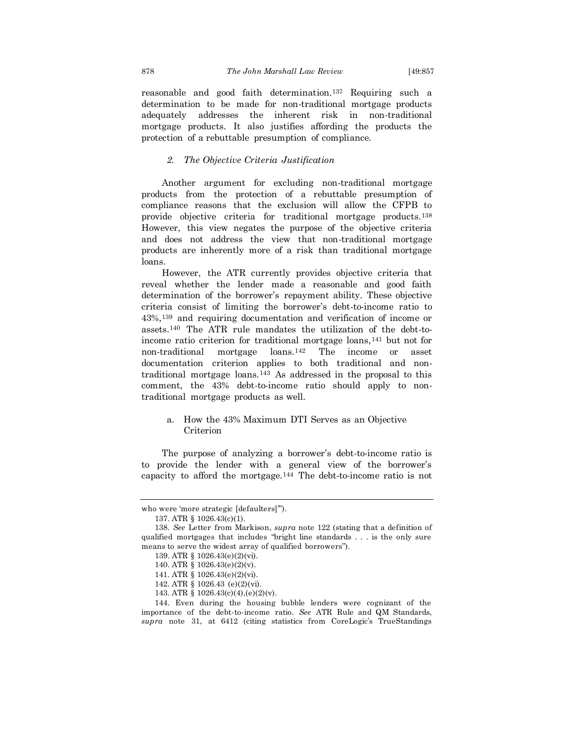reasonable and good faith determination.<sup>137</sup> Requiring such a determination to be made for non-traditional mortgage products adequately addresses the inherent risk in non-traditional mortgage products. It also justifies affording the products the protection of a rebuttable presumption of compliance.

### *2. The Objective Criteria Justification*

Another argument for excluding non-traditional mortgage products from the protection of a rebuttable presumption of compliance reasons that the exclusion will allow the CFPB to provide objective criteria for traditional mortgage products.<sup>138</sup> However, this view negates the purpose of the objective criteria and does not address the view that non-traditional mortgage products are inherently more of a risk than traditional mortgage loans.

However, the ATR currently provides objective criteria that reveal whether the lender made a reasonable and good faith determination of the borrower's repayment ability. These objective criteria consist of limiting the borrower's debt-to-income ratio to 43%,<sup>139</sup> and requiring documentation and verification of income or assets.<sup>140</sup> The ATR rule mandates the utilization of the debt-toincome ratio criterion for traditional mortgage loans,<sup>141</sup> but not for non-traditional mortgage loans.<sup>142</sup> The income or asset documentation criterion applies to both traditional and nontraditional mortgage loans.<sup>143</sup> As addressed in the proposal to this comment, the 43% debt-to-income ratio should apply to nontraditional mortgage products as well.

### a. How the 43% Maximum DTI Serves as an Objective Criterion

The purpose of analyzing a borrower's debt-to-income ratio is to provide the lender with a general view of the borrower's capacity to afford the mortgage.<sup>144</sup> The debt-to-income ratio is not

who were 'more strategic [defaulters]'").

<sup>137.</sup> ATR § 1026.43(c)(1).

<sup>138.</sup> *See* Letter from Markison, *supra* note 122 (stating that a definition of qualified mortgages that includes "bright line standards . . . is the only sure means to serve the widest array of qualified borrowers").

<sup>139.</sup> ATR § 1026.43(e)(2)(vi).

<sup>140.</sup> ATR § 1026.43(e)(2)(v).

<sup>141.</sup> ATR § 1026.43(e)(2)(vi).

<sup>142.</sup> ATR § 1026.43 (e)(2)(vi).

<sup>143.</sup> ATR § 1026.43(c)(4),(e)(2)(v).

<sup>144.</sup> Even during the housing bubble lenders were cognizant of the importance of the debt-to-income ratio. *See* ATR Rule and QM Standards, *supra* note 31, at 6412 (citing statistics from CoreLogic's TrueStandings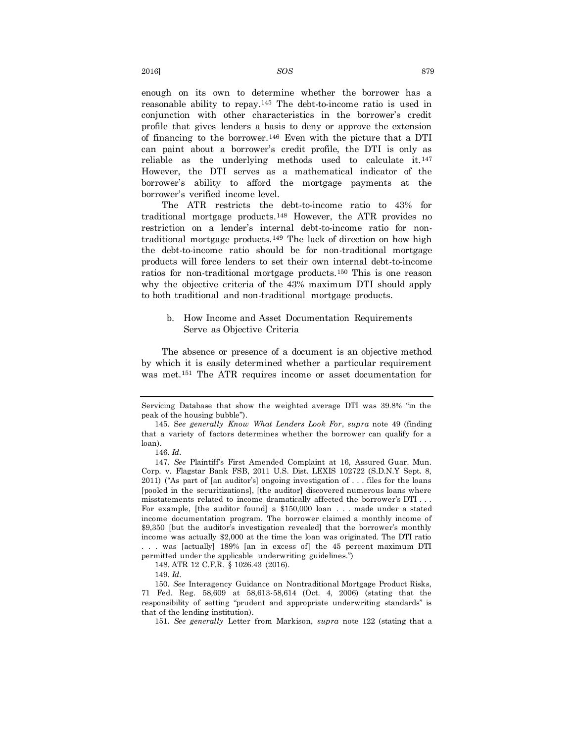enough on its own to determine whether the borrower has a reasonable ability to repay.<sup>145</sup> The debt-to-income ratio is used in conjunction with other characteristics in the borrower's credit profile that gives lenders a basis to deny or approve the extension of financing to the borrower.<sup>146</sup> Even with the picture that a DTI can paint about a borrower's credit profile, the DTI is only as reliable as the underlying methods used to calculate it.<sup>147</sup> However, the DTI serves as a mathematical indicator of the borrower's ability to afford the mortgage payments at the borrower's verified income level.

The ATR restricts the debt-to-income ratio to 43% for traditional mortgage products.<sup>148</sup> However, the ATR provides no restriction on a lender's internal debt-to-income ratio for nontraditional mortgage products.<sup>149</sup> The lack of direction on how high the debt-to-income ratio should be for non-traditional mortgage products will force lenders to set their own internal debt-to-income ratios for non-traditional mortgage products.<sup>150</sup> This is one reason why the objective criteria of the 43% maximum DTI should apply to both traditional and non-traditional mortgage products.

### b. How Income and Asset Documentation Requirements Serve as Objective Criteria

The absence or presence of a document is an objective method by which it is easily determined whether a particular requirement was met.<sup>151</sup> The ATR requires income or asset documentation for

Servicing Database that show the weighted average DTI was 39.8% "in the peak of the housing bubble").

<sup>145.</sup> S*ee generally Know What Lenders Look For*, *supra* note 49 (finding that a variety of factors determines whether the borrower can qualify for a loan).

<sup>146.</sup> *Id.*

<sup>147.</sup> *See* Plaintiff's First Amended Complaint at 16, Assured Guar. Mun. Corp. v. Flagstar Bank FSB, 2011 U.S. Dist. LEXIS 102722 (S.D.N.Y Sept. 8, 2011) ("As part of [an auditor's] ongoing investigation of . . . files for the loans [pooled in the securitizations], [the auditor] discovered numerous loans where misstatements related to income dramatically affected the borrower's DTI . . . For example, [the auditor found] a \$150,000 loan . . . made under a stated income documentation program. The borrower claimed a monthly income of \$9,350 [but the auditor's investigation revealed] that the borrower's monthly income was actually \$2,000 at the time the loan was originated. The DTI ratio . . . was [actually] 189% [an in excess of] the 45 percent maximum DTI permitted under the applicable underwriting guidelines.")

<sup>148.</sup> ATR 12 C.F.R. § 1026.43 (2016).

<sup>149.</sup> *Id.*

<sup>150.</sup> *See* Interagency Guidance on Nontraditional Mortgage Product Risks, 71 Fed. Reg. 58,609 at 58,613-58,614 (Oct. 4, 2006) (stating that the responsibility of setting "prudent and appropriate underwriting standards" is that of the lending institution).

<sup>151.</sup> *See generally* Letter from Markison, *supra* note 122 (stating that a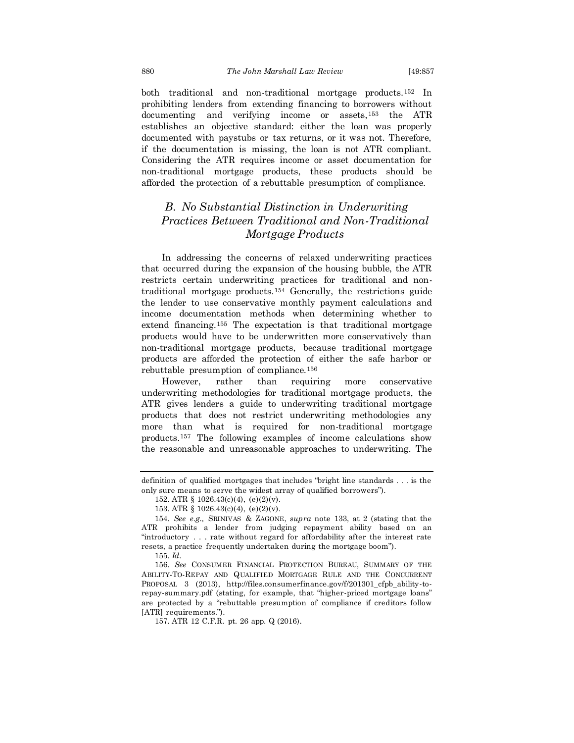both traditional and non-traditional mortgage products.<sup>152</sup> In prohibiting lenders from extending financing to borrowers without documenting and verifying income or assets,<sup>153</sup> the ATR establishes an objective standard: either the loan was properly documented with paystubs or tax returns, or it was not. Therefore, if the documentation is missing, the loan is not ATR compliant. Considering the ATR requires income or asset documentation for non-traditional mortgage products, these products should be afforded the protection of a rebuttable presumption of compliance.

## *B. No Substantial Distinction in Underwriting Practices Between Traditional and Non-Traditional Mortgage Products*

In addressing the concerns of relaxed underwriting practices that occurred during the expansion of the housing bubble, the ATR restricts certain underwriting practices for traditional and nontraditional mortgage products.<sup>154</sup> Generally, the restrictions guide the lender to use conservative monthly payment calculations and income documentation methods when determining whether to extend financing.<sup>155</sup> The expectation is that traditional mortgage products would have to be underwritten more conservatively than non-traditional mortgage products, because traditional mortgage products are afforded the protection of either the safe harbor or rebuttable presumption of compliance.<sup>156</sup>

However, rather than requiring more conservative underwriting methodologies for traditional mortgage products, the ATR gives lenders a guide to underwriting traditional mortgage products that does not restrict underwriting methodologies any more than what is required for non-traditional mortgage products.<sup>157</sup> The following examples of income calculations show the reasonable and unreasonable approaches to underwriting. The

definition of qualified mortgages that includes "bright line standards . . . is the only sure means to serve the widest array of qualified borrowers").

<sup>152.</sup> ATR § 1026.43(c)(4), (e)(2)(v).

<sup>153.</sup> ATR § 1026.43(c)(4), (e)(2)(v).

<sup>154.</sup> *See e.g.,* SRINIVAS & ZAGONE, *supra* note 133, at 2 (stating that the ATR prohibits a lender from judging repayment ability based on an "introductory . . . rate without regard for affordability after the interest rate resets, a practice frequently undertaken during the mortgage boom").

<sup>155.</sup> *Id.*

<sup>156.</sup> *See* CONSUMER FINANCIAL PROTECTION BUREAU, SUMMARY OF THE ABILITY-TO-REPAY AND QUALIFIED MORTGAGE RULE AND THE CONCURRENT PROPOSAL 3 (2013), http://files.consumerfinance.gov/f/201301\_cfpb\_ability-torepay-summary.pdf (stating, for example, that "higher-priced mortgage loans" are protected by a "rebuttable presumption of compliance if creditors follow [ATR] requirements.")

<sup>157.</sup> ATR 12 C.F.R. pt. 26 app. Q (2016).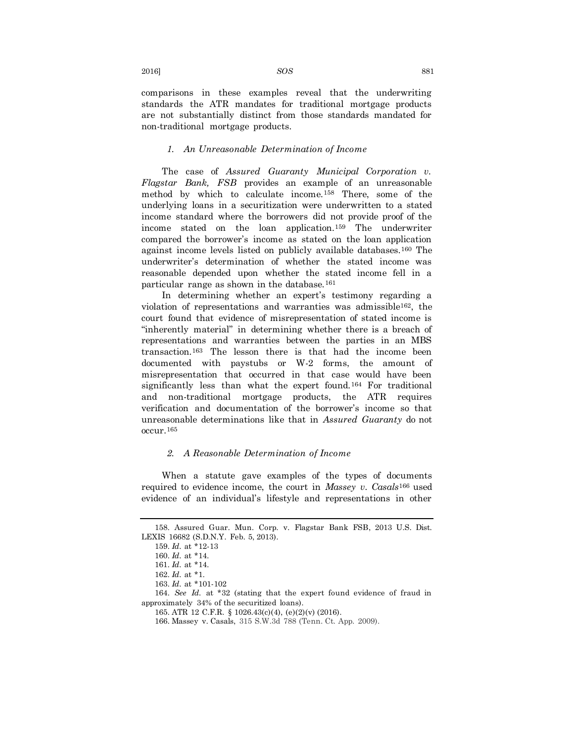comparisons in these examples reveal that the underwriting standards the ATR mandates for traditional mortgage products are not substantially distinct from those standards mandated for non-traditional mortgage products.

### *1. An Unreasonable Determination of Income*

The case of *Assured Guaranty Municipal Corporation v. Flagstar Bank, FSB* provides an example of an unreasonable method by which to calculate income.<sup>158</sup> There, some of the underlying loans in a securitization were underwritten to a stated income standard where the borrowers did not provide proof of the income stated on the loan application.<sup>159</sup> The underwriter compared the borrower's income as stated on the loan application against income levels listed on publicly available databases.<sup>160</sup> The underwriter's determination of whether the stated income was reasonable depended upon whether the stated income fell in a particular range as shown in the database.<sup>161</sup>

In determining whether an expert's testimony regarding a violation of representations and warranties was admissible162, the court found that evidence of misrepresentation of stated income is "inherently material" in determining whether there is a breach of representations and warranties between the parties in an MBS transaction.<sup>163</sup> The lesson there is that had the income been documented with paystubs or W-2 forms, the amount of misrepresentation that occurred in that case would have been significantly less than what the expert found.<sup>164</sup> For traditional and non-traditional mortgage products, the ATR requires verification and documentation of the borrower's income so that unreasonable determinations like that in *Assured Guaranty* do not occur.<sup>165</sup>

### *2. A Reasonable Determination of Income*

When a statute gave examples of the types of documents required to evidence income, the court in *Massey v. Casals*<sup>166</sup> used evidence of an individual's lifestyle and representations in other

<sup>158.</sup> Assured Guar. Mun. Corp. v. Flagstar Bank FSB, 2013 U.S. Dist. LEXIS 16682 (S.D.N.Y. Feb. 5, 2013).

<sup>159.</sup> *Id.* at \*12-13

<sup>160.</sup> *Id.* at \*14.

<sup>161.</sup> *Id.* at \*14.

<sup>162.</sup> *Id.* at \*1.

<sup>163.</sup> *Id.* at \*101-102

<sup>164.</sup> *See Id.* at \*32 (stating that the expert found evidence of fraud in approximately 34% of the securitized loans).

<sup>165.</sup> ATR 12 C.F.R. § 1026.43(c)(4), (e)(2)(v) (2016).

<sup>166.</sup> Massey v. Casals, 315 S.W.3d 788 (Tenn. Ct. App. 2009).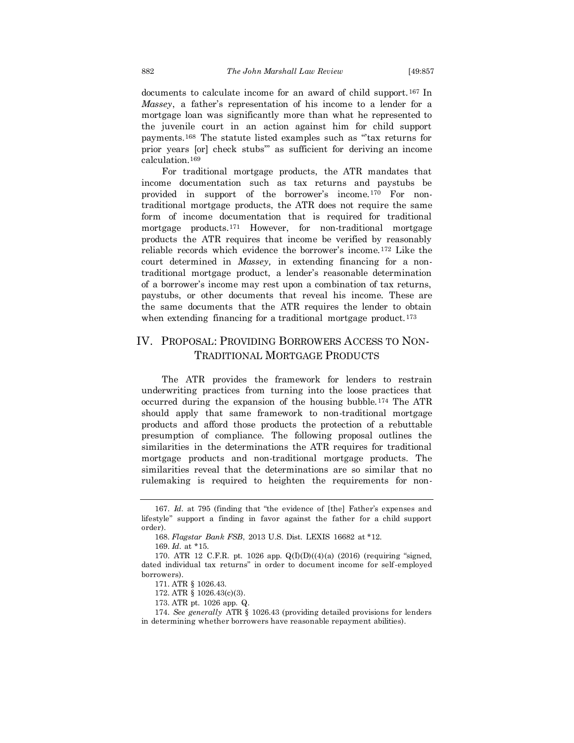documents to calculate income for an award of child support.<sup>167</sup> In *Massey*, a father's representation of his income to a lender for a mortgage loan was significantly more than what he represented to the juvenile court in an action against him for child support payments.<sup>168</sup> The statute listed examples such as "'tax returns for prior years [or] check stubs'" as sufficient for deriving an income calculation.<sup>169</sup>

For traditional mortgage products, the ATR mandates that income documentation such as tax returns and paystubs be provided in support of the borrower's income.<sup>170</sup> For nontraditional mortgage products, the ATR does not require the same form of income documentation that is required for traditional mortgage products.<sup>171</sup> However, for non-traditional mortgage products the ATR requires that income be verified by reasonably reliable records which evidence the borrower's income.<sup>172</sup> Like the court determined in *Massey,* in extending financing for a nontraditional mortgage product, a lender's reasonable determination of a borrower's income may rest upon a combination of tax returns, paystubs, or other documents that reveal his income. These are the same documents that the ATR requires the lender to obtain when extending financing for a traditional mortgage product.<sup>173</sup>

## IV. PROPOSAL: PROVIDING BORROWERS ACCESS TO NON-TRADITIONAL MORTGAGE PRODUCTS

The ATR provides the framework for lenders to restrain underwriting practices from turning into the loose practices that occurred during the expansion of the housing bubble.<sup>174</sup> The ATR should apply that same framework to non-traditional mortgage products and afford those products the protection of a rebuttable presumption of compliance. The following proposal outlines the similarities in the determinations the ATR requires for traditional mortgage products and non-traditional mortgage products. The similarities reveal that the determinations are so similar that no rulemaking is required to heighten the requirements for non-

<sup>167.</sup> *Id.* at 795 (finding that "the evidence of [the] Father's expenses and lifestyle" support a finding in favor against the father for a child support order).

<sup>168.</sup> *Flagstar Bank FSB*, 2013 U.S. Dist. LEXIS 16682 at \*12.

<sup>169.</sup> *Id.* at \*15.

<sup>170.</sup> ATR 12 C.F.R. pt. 1026 app. Q(I)(D)((4)(a) (2016) (requiring "signed, dated individual tax returns" in order to document income for self-employed borrowers).

<sup>171.</sup> ATR § 1026.43.

<sup>172.</sup> ATR § 1026.43(c)(3).

<sup>173.</sup> ATR pt. 1026 app. Q.

<sup>174.</sup> *See generally* ATR § 1026.43 (providing detailed provisions for lenders in determining whether borrowers have reasonable repayment abilities).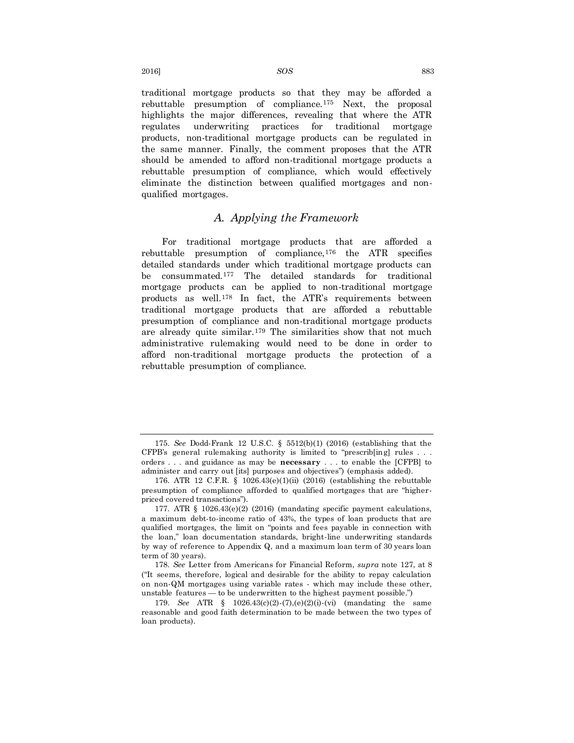traditional mortgage products so that they may be afforded a rebuttable presumption of compliance.<sup>175</sup> Next, the proposal highlights the major differences, revealing that where the ATR regulates underwriting practices for traditional mortgage products, non-traditional mortgage products can be regulated in the same manner. Finally, the comment proposes that the ATR should be amended to afford non-traditional mortgage products a rebuttable presumption of compliance, which would effectively eliminate the distinction between qualified mortgages and nonqualified mortgages.

## *A. Applying the Framework*

For traditional mortgage products that are afforded a rebuttable presumption of compliance,<sup>176</sup> the ATR specifies detailed standards under which traditional mortgage products can be consummated.<sup>177</sup> The detailed standards for traditional mortgage products can be applied to non-traditional mortgage products as well.<sup>178</sup> In fact, the ATR's requirements between traditional mortgage products that are afforded a rebuttable presumption of compliance and non-traditional mortgage products are already quite similar.<sup>179</sup> The similarities show that not much administrative rulemaking would need to be done in order to afford non-traditional mortgage products the protection of a rebuttable presumption of compliance.

<sup>175.</sup> *See* Dodd-Frank 12 U.S.C. § 5512(b)(1) (2016) (establishing that the CFPB's general rulemaking authority is limited to "prescrib[ing] rules . . . orders . . . and guidance as may be **necessary** . . . to enable the [CFPB] to administer and carry out [its] purposes and objectives") (emphasis added).

<sup>176.</sup> ATR 12 C.F.R. § 1026.43(e)(1)(ii) (2016) (establishing the rebuttable presumption of compliance afforded to qualified mortgages that are "higherpriced covered transactions").

<sup>177.</sup> ATR § 1026.43(e)(2) (2016) (mandating specific payment calculations, a maximum debt-to-income ratio of 43%, the types of loan products that are qualified mortgages, the limit on "points and fees payable in connection with the loan," loan documentation standards, bright-line underwriting standards by way of reference to Appendix Q, and a maximum loan term of 30 years loan term of 30 years).

<sup>178.</sup> *See* Letter from Americans for Financial Reform, *supra* note 127, at 8 ("It seems, therefore, logical and desirable for the ability to repay calculation on non-QM mortgages using variable rates - which may include these other, unstable features — to be underwritten to the highest payment possible.")

<sup>179.</sup> *See* ATR § 1026.43(c)(2)-(7),(e)(2)(i)-(vi) (mandating the same reasonable and good faith determination to be made between the two types of loan products).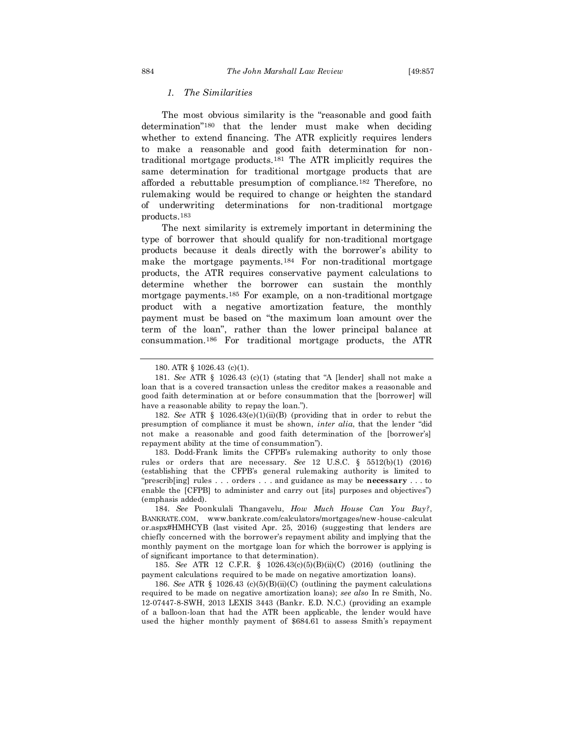### *1. The Similarities*

The most obvious similarity is the "reasonable and good faith determination"<sup>180</sup> that the lender must make when deciding whether to extend financing. The ATR explicitly requires lenders to make a reasonable and good faith determination for nontraditional mortgage products.<sup>181</sup> The ATR implicitly requires the same determination for traditional mortgage products that are afforded a rebuttable presumption of compliance.<sup>182</sup> Therefore, no rulemaking would be required to change or heighten the standard of underwriting determinations for non-traditional mortgage products.<sup>183</sup>

The next similarity is extremely important in determining the type of borrower that should qualify for non-traditional mortgage products because it deals directly with the borrower's ability to make the mortgage payments.<sup>184</sup> For non-traditional mortgage products, the ATR requires conservative payment calculations to determine whether the borrower can sustain the monthly mortgage payments.<sup>185</sup> For example, on a non-traditional mortgage product with a negative amortization feature, the monthly payment must be based on "the maximum loan amount over the term of the loan", rather than the lower principal balance at consummation.<sup>186</sup> For traditional mortgage products, the ATR

183. Dodd-Frank limits the CFPB's rulemaking authority to only those rules or orders that are necessary. *See* 12 U.S.C. § 5512(b)(1) (2016) (establishing that the CFPB's general rulemaking authority is limited to "prescrib[ing] rules . . . orders . . . and guidance as may be **necessary** . . . to enable the [CFPB] to administer and carry out [its] purposes and objectives") (emphasis added).

184. *See* Poonkulali Thangavelu, *How Much House Can You Buy?*, BANKRATE.COM, www.bankrate.com/calculators/mortgages/new-house-calculat or.aspx#HMHCYB (last visited Apr. 25, 2016) (suggesting that lenders are chiefly concerned with the borrower's repayment ability and implying that the monthly payment on the mortgage loan for which the borrower is applying is of significant importance to that determination).

185. *See* ATR 12 C.F.R. § 1026.43(c)(5)(B)(ii)(C) (2016) (outlining the payment calculations required to be made on negative amortization loans).

186. *See* ATR § 1026.43 (c)(5)(B)(ii)(C) (outlining the payment calculations required to be made on negative amortization loans); *see also* In re Smith, No. 12-07447-8-SWH, 2013 LEXIS 3443 (Bankr. E.D. N.C.) (providing an example of a balloon-loan that had the ATR been applicable, the lender would have used the higher monthly payment of \$684.61 to assess Smith's repayment

<sup>180.</sup> ATR § 1026.43 (c)(1).

<sup>181.</sup> *See* ATR § 1026.43 (c)(1) (stating that "A [lender] shall not make a loan that is a covered transaction unless the creditor makes a reasonable and good faith determination at or before consummation that the [borrower] will have a reasonable ability to repay the loan.").

<sup>182.</sup> *See* ATR § 1026.43(e)(1)(ii)(B) (providing that in order to rebut the presumption of compliance it must be shown, *inter alia*, that the lender "did not make a reasonable and good faith determination of the [borrower's] repayment ability at the time of consummation").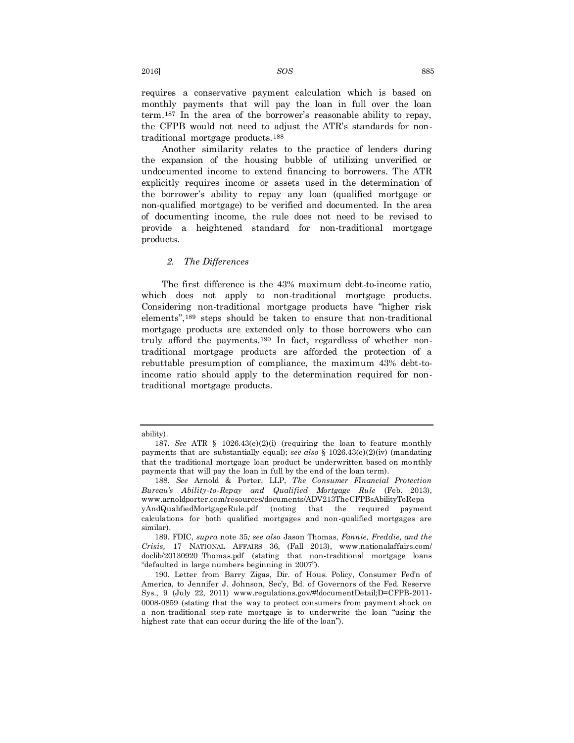requires a conservative payment calculation which is based on monthly payments that will pay the loan in full over the loan term.<sup>187</sup> In the area of the borrower's reasonable ability to repay, the CFPB would not need to adjust the ATR's standards for nontraditional mortgage products.<sup>188</sup>

Another similarity relates to the practice of lenders during the expansion of the housing bubble of utilizing unverified or undocumented income to extend financing to borrowers. The ATR explicitly requires income or assets used in the determination of the borrower's ability to repay any loan (qualified mortgage or non-qualified mortgage) to be verified and documented. In the area of documenting income, the rule does not need to be revised to provide a heightened standard for non-traditional mortgage products.

### *2. The Differences*

The first difference is the 43% maximum debt-to-income ratio, which does not apply to non-traditional mortgage products. Considering non-traditional mortgage products have "higher risk elements",<sup>189</sup> steps should be taken to ensure that non-traditional mortgage products are extended only to those borrowers who can truly afford the payments.<sup>190</sup> In fact, regardless of whether nontraditional mortgage products are afforded the protection of a rebuttable presumption of compliance, the maximum 43% debt-toincome ratio should apply to the determination required for nontraditional mortgage products.

ability).

<sup>187.</sup> *See* ATR § 1026.43(e)(2)(i) (requiring the loan to feature monthly payments that are substantially equal); *see also* § 1026.43(e)(2)(iv) (mandating that the traditional mortgage loan product be underwritten based on monthly payments that will pay the loan in full by the end of the loan term).

<sup>188.</sup> *See* Arnold & Porter, LLP, *The Consumer Financial Protection Bureau's Ability-to-Repay and Qualified Mortgage Rule* (Feb. 2013), www.arnoldporter.com/resources/documents/ADV213TheCFPBsAbilityToRepa yAndQualifiedMortgageRule.pdf (noting that the required payment calculations for both qualified mortgages and non-qualified mortgages are similar).

<sup>189.</sup> FDIC, *supra* note 35*; see also* Jason Thomas, *Fannie, Freddie, and the Crisis,* 17 NATIONAL AFFAIRS 36, (Fall 2013), www.nationalaffairs.com/ doclib/20130920\_Thomas.pdf (stating that non-traditional mortgage loans "defaulted in large numbers beginning in 2007").

<sup>190.</sup> Letter from Barry Zigas, Dir. of Hous. Policy, Consumer Fed'n of America, to Jennifer J. Johnson, Sec'y, Bd. of Governors of the Fed. Reserve Sys., 9 (July 22, 2011) www.regulations.gov/#!documentDetail;D=CFPB-2011- 0008-0859 (stating that the way to protect consumers from payment shock on a non-traditional step-rate mortgage is to underwrite the loan "using the highest rate that can occur during the life of the loan").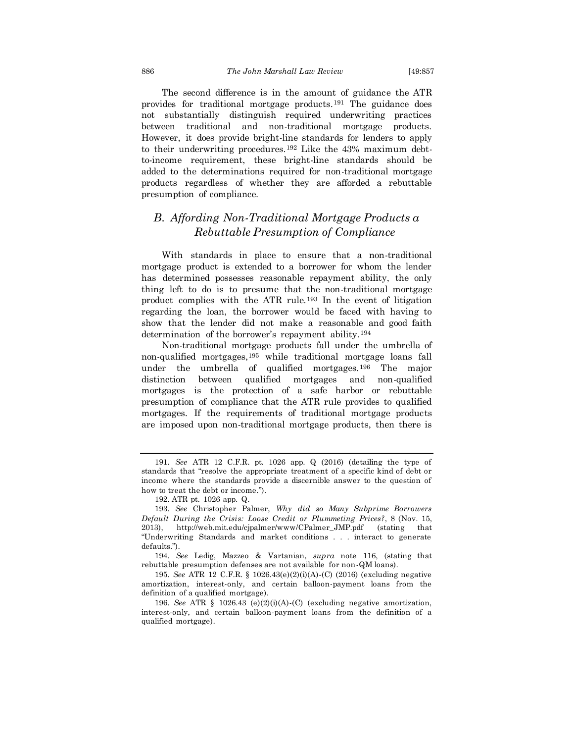The second difference is in the amount of guidance the ATR provides for traditional mortgage products.<sup>191</sup> The guidance does not substantially distinguish required underwriting practices between traditional and non-traditional mortgage products. However, it does provide bright-line standards for lenders to apply to their underwriting procedures.<sup>192</sup> Like the 43% maximum debtto-income requirement, these bright-line standards should be added to the determinations required for non-traditional mortgage products regardless of whether they are afforded a rebuttable presumption of compliance.

## *B. Affording Non-Traditional Mortgage Products a Rebuttable Presumption of Compliance*

With standards in place to ensure that a non-traditional mortgage product is extended to a borrower for whom the lender has determined possesses reasonable repayment ability, the only thing left to do is to presume that the non-traditional mortgage product complies with the ATR rule.<sup>193</sup> In the event of litigation regarding the loan, the borrower would be faced with having to show that the lender did not make a reasonable and good faith determination of the borrower's repayment ability.<sup>194</sup>

Non-traditional mortgage products fall under the umbrella of non-qualified mortgages,<sup>195</sup> while traditional mortgage loans fall under the umbrella of qualified mortgages.<sup>196</sup> The major distinction between qualified mortgages and non-qualified mortgages is the protection of a safe harbor or rebuttable presumption of compliance that the ATR rule provides to qualified mortgages. If the requirements of traditional mortgage products are imposed upon non-traditional mortgage products, then there is

<sup>191.</sup> *See* ATR 12 C.F.R. pt. 1026 app. Q (2016) (detailing the type of standards that "resolve the appropriate treatment of a specific kind of debt or income where the standards provide a discernible answer to the question of how to treat the debt or income.").

<sup>192.</sup> ATR pt. 1026 app. Q.

<sup>193.</sup> *See* Christopher Palmer, *Why did so Many Subprime Borrowers Default During the Crisis: Loose Credit or Plummeting Prices?*, 8 (Nov. 15, 2013), http://web.mit.edu/cjpalmer/www/CPalmer\_JMP.pdf (stating that "Underwriting Standards and market conditions . . . interact to generate defaults.").

<sup>194.</sup> *See* Ledig, Mazzeo & Vartanian, *supra* note 116, (stating that rebuttable presumption defenses are not available for non-QM loans).

<sup>195.</sup> *See* ATR 12 C.F.R. § 1026.43(e)(2)(i)(A)-(C) (2016) (excluding negative amortization, interest-only, and certain balloon-payment loans from the definition of a qualified mortgage).

<sup>196.</sup> *See* ATR § 1026.43 (e)(2)(i)(A)-(C) (excluding negative amortization, interest-only, and certain balloon-payment loans from the definition of a qualified mortgage).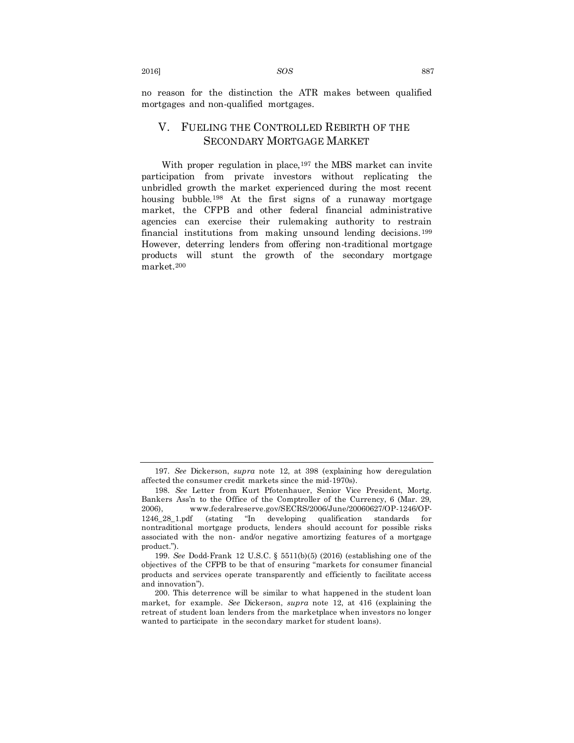no reason for the distinction the ATR makes between qualified mortgages and non-qualified mortgages.

## V. FUELING THE CONTROLLED REBIRTH OF THE SECONDARY MORTGAGE MARKET

With proper regulation in place,<sup>197</sup> the MBS market can invite participation from private investors without replicating the unbridled growth the market experienced during the most recent housing bubble.<sup>198</sup> At the first signs of a runaway mortgage market, the CFPB and other federal financial administrative agencies can exercise their rulemaking authority to restrain financial institutions from making unsound lending decisions.<sup>199</sup> However, deterring lenders from offering non-traditional mortgage products will stunt the growth of the secondary mortgage market.<sup>200</sup>

<sup>197.</sup> *See* Dickerson, *supra* note 12, at 398 (explaining how deregulation affected the consumer credit markets since the mid-1970s).

<sup>198.</sup> *See* Letter from Kurt Pfotenhauer, Senior Vice President, Mortg. Bankers Ass'n to the Office of the Comptroller of the Currency, 6 (Mar. 29, 2006), www.federalreserve.gov/SECRS/2006/June/20060627/OP-1246/OP-1246\_28\_1.pdf (stating "In developing qualification standards for nontraditional mortgage products, lenders should account for possible risks associated with the non- and/or negative amortizing features of a mortgage product.").

<sup>199.</sup> *See* Dodd-Frank 12 U.S.C. § 5511(b)(5) (2016) (establishing one of the objectives of the CFPB to be that of ensuring "markets for consumer financial products and services operate transparently and efficiently to facilitate access and innovation").

<sup>200.</sup> This deterrence will be similar to what happened in the student loan market, for example. *See* Dickerson, *supra* note 12, at 416 (explaining the retreat of student loan lenders from the marketplace when investors no longer wanted to participate in the secondary market for student loans).